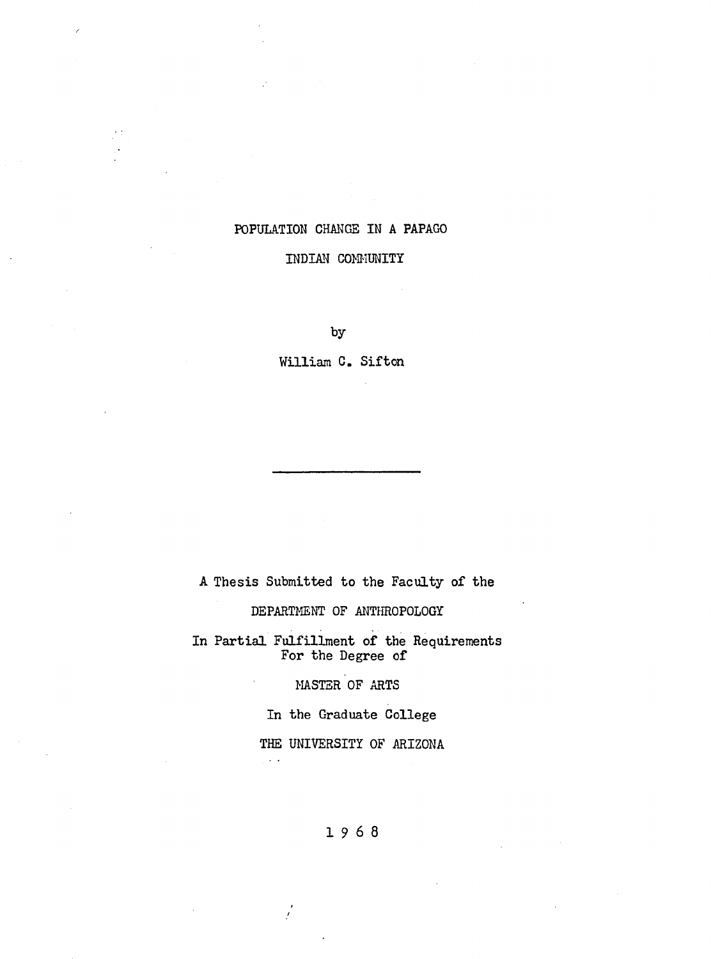# POPULATION CHANGE IN A PAPAGO

# INDIAN COMMUNITY

by

William C. Sifton

A Thesis Submitted to the Faculty of the

DEPARTMENT OF ANTHROPOLOGY

In Partial Fulfillment of the Requirements For the Degree of

MASTER OF ARTS

In the Graduate College

THE UNIVERSITY OF ARIZONA

**1 9 6 8**

 $\frac{1}{2}$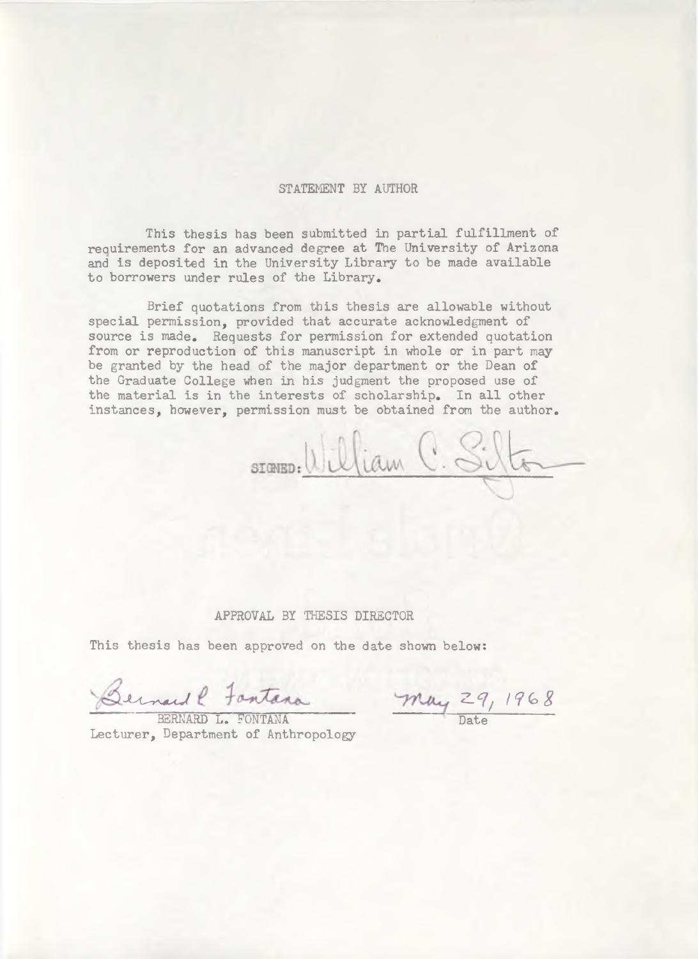### **STATEMENT BY AUTHOR**

This thesis has been submitted in partial fulfillment of requirements for an advanced degree at The University of Arizona and is deposited in the University Library to be made available to borrowers under rules of the Library.

Brief quotations from this thesis are allowable without special permission, provided that accurate acknowledgment of source is made. Requests for permission for extended quotation from or reproduction of this manuscript in whole or in part may be granted by the head of the major department or the Dean of the Graduate College when in his judgment the proposed use of the material is in the interests of scholarship. In all other instances, however, permission must be obtained from the author.

STONED: William C. Silts

## APPROVAL BY THESIS DIRECTOR

This thesis has been approved on the date shown below:

Bernard P. Fontana May 29, 1968

BERNARD L. FONTANA Lecturer, Department of Anthropology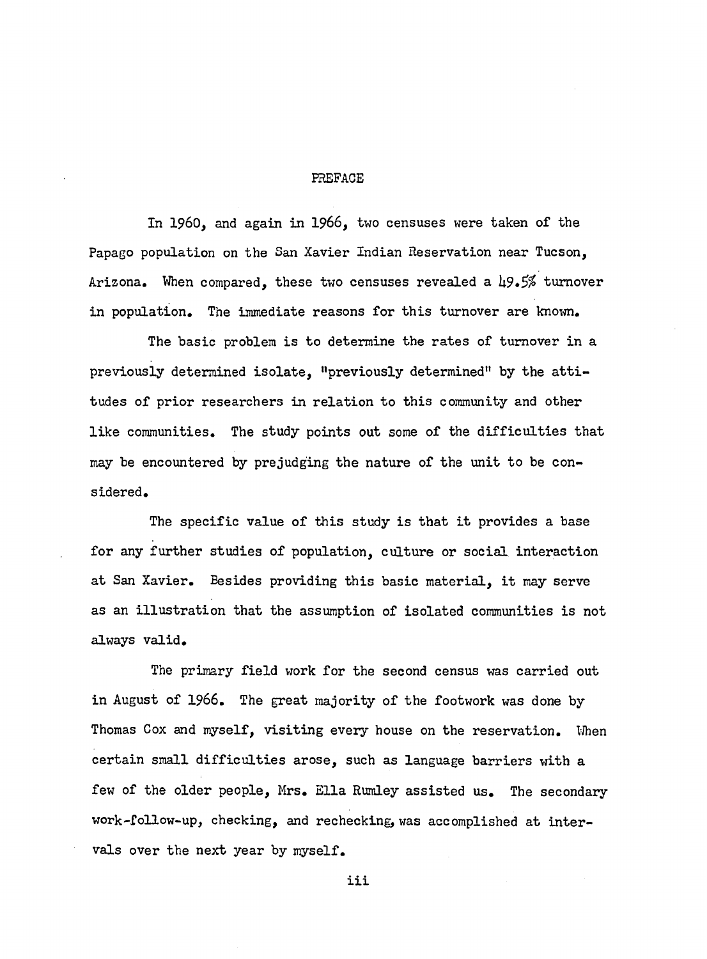#### PREFACE

In 1960, and again in 1966, two censuses were taken of the Papago population on the San Xavier Indian Reservation near Tucson, Arizona. When compared, these two censuses revealed a *h9»5%* turnover in population. The immediate reasons for this turnover are known.

The basic problem is to determine the rates of turnover in a previously determined isolate, "previously determined" by the attitudes of prior researchers in relation to this community and other like communities. The study points out some of the difficulties that may be encountered by prejudging the nature of the unit to be considered.

The specific value of this study is that it provides a base for any further studies of population, culture or social interaction at San Xavier. Besides providing this basic material, it may serve as an illustration that the assumption of isolated communities is not always valid.

The primary field work for the second census was carried out in August of 1966. The great majority of the footwork was done by Thomas Cox and myself, visiting every house on the reservation. When certain small difficulties arose, such as language barriers with a few of the older people, Mrs. Ella Rumley assisted us. The secondary work-follow-up, checking, and rechecking, was accomplished at intervals over the next year by myself.

**iii**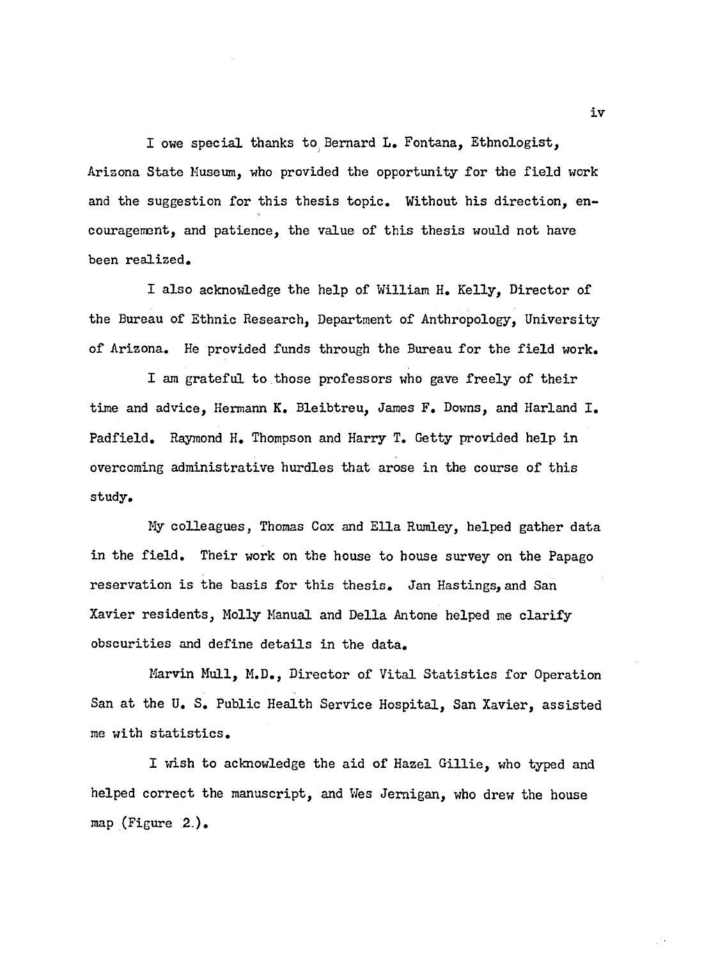I owe special thanks to Bernard L. Fontana, Ethnologist, Arizona State Museum, who provided the opportunity for the field work and the suggestion for this thesis topic. Without his direction, encouragement, and patience, the value of this thesis would not have been realized.

I also acknowledge the help of William H. Kelly, Director of the Bureau of Ethnic Research, Department of Anthropology, University of Arizona. He provided funds through the Bureau for the field work.

I am grateful to those professors who gave freely of their time and advice, Hermann K. Bleibtreu, James F. Downs, and Harland I. Padfield. Raymond H. Thompson and Harry T. Getty provided help in overcoming administrative hurdles that arose in the course of this study.

My colleagues, Thomas Cox and Ella Rumley, helped gather data in the field. Their work on the house to house survey on the Papago reservation is the basis for this thesis. Jan Hastings, and San Xavier residents, Molly Manual and Della Antone helped me clarify obscurities and define details in the data.

Marvin Mull, M.D., Director of Vital Statistics for Operation San at the U. S. Public Health Service Hospital, San Xavier, assisted me with statistics.

I wish to acknowledge the aid of Hazel Gillie, who typed and helped correct the manuscript, and Wes Jemigan, who drew the house map (Figure  $2$ ).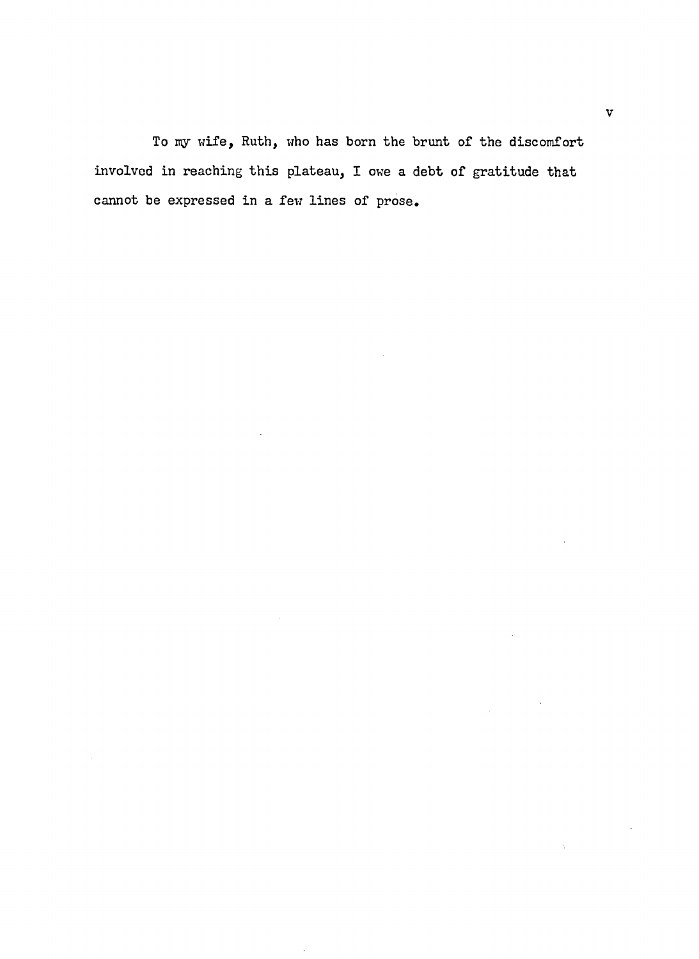To my wife, Ruth, who has born the brunt of the discomfort involved in reaching this plateau, I owe a debt of gratitude that cannot be expressed in a few lines of prose.

 $\mathcal{L}$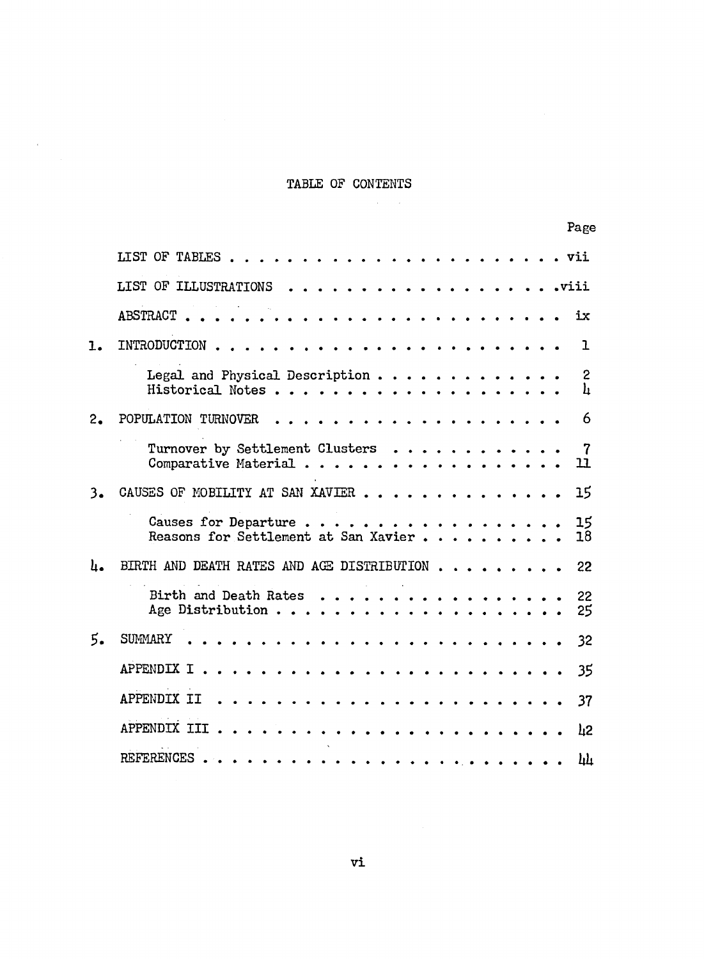# TABLE OF CONTENTS

 $\mathcal{L}_{\text{max}}$  .

 $\sim$   $\sim$ 

|     |                                                                                                       | Page                 |
|-----|-------------------------------------------------------------------------------------------------------|----------------------|
|     | LIST OF TABLES                                                                                        | vii                  |
|     | LIST OF ILLUSTRATIONS                                                                                 | .viii                |
|     | <b>ABSTRACT</b>                                                                                       | ix                   |
| ı.  | INTRODUCTION                                                                                          | ı                    |
|     | Legal and Physical Description<br>Historical Notes.<br>$\sim$ $\sim$ $\sim$ $\sim$                    | 2<br>h               |
| 2.  | POPULATION TURNOVER                                                                                   | 6                    |
|     | Turnover by Settlement Clusters<br>$\mathbf{r}$ , $\mathbf{r}$ , $\mathbf{r}$<br>Comparative Material | $\overline{7}$<br>11 |
| 3,  | CAUSES OF MOBILITY AT SAN XAVIER                                                                      | 15                   |
|     | Causes for Departure<br>Reasons for Settlement at San Xavier.                                         | 15<br>18             |
| ، L | BIRTH AND DEATH RATES AND AGE DISTRIBUTION.                                                           | 22                   |
|     | Birth and Death Rates<br>Age Distribution                                                             | 22<br>25             |
| 5.  | <b>SUMMARY</b>                                                                                        | 32                   |
|     | APPENDIX I                                                                                            | 35                   |
|     | APPENDIX II                                                                                           | 37                   |
|     | APPENDIX III.                                                                                         | h2                   |
|     | REFERENCES.                                                                                           | <u>կև</u>            |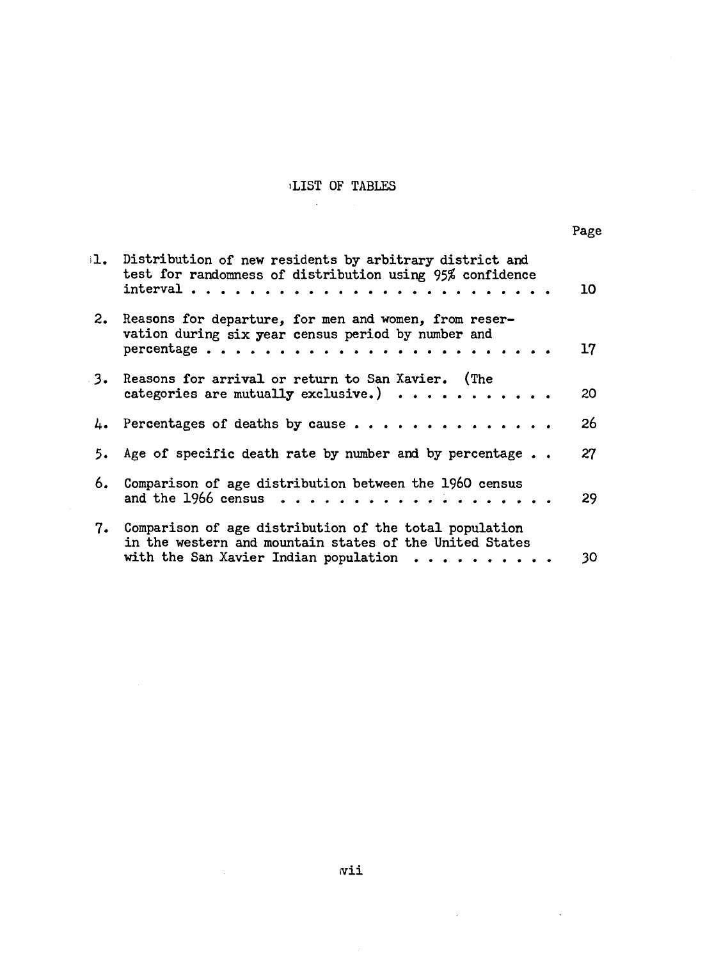# **iLIST OF TABLES**

 $\mathcal{A}$ 

|    | 1. Distribution of new residents by arbitrary district and<br>test for randomness of distribution using 95% confidence                                                 | 10 |
|----|------------------------------------------------------------------------------------------------------------------------------------------------------------------------|----|
|    | 2. Reasons for departure, for men and women, from reser-<br>vation during six year census period by number and<br>percentage                                           | 17 |
|    | 3. Reasons for arrival or return to San Xavier. (The<br>categories are mutually exclusive.) $\cdots$                                                                   | 20 |
|    | 4. Percentages of deaths by cause                                                                                                                                      | 26 |
|    | 5. Age of specific death rate by number and by percentage                                                                                                              | 27 |
| 6. | Comparison of age distribution between the 1960 census<br>and the 1966 census $\ldots \ldots \ldots \ldots \ldots \ldots$                                              | 29 |
|    | 7. Comparison of age distribution of the total population<br>in the western and mountain states of the United States<br>with the San Xavier Indian population $\cdots$ | 30 |

 $\sim 10^{-10}$ 

 $\sim$   $\sim$ 

 $\mathcal{L}^{\text{max}}_{\text{max}}$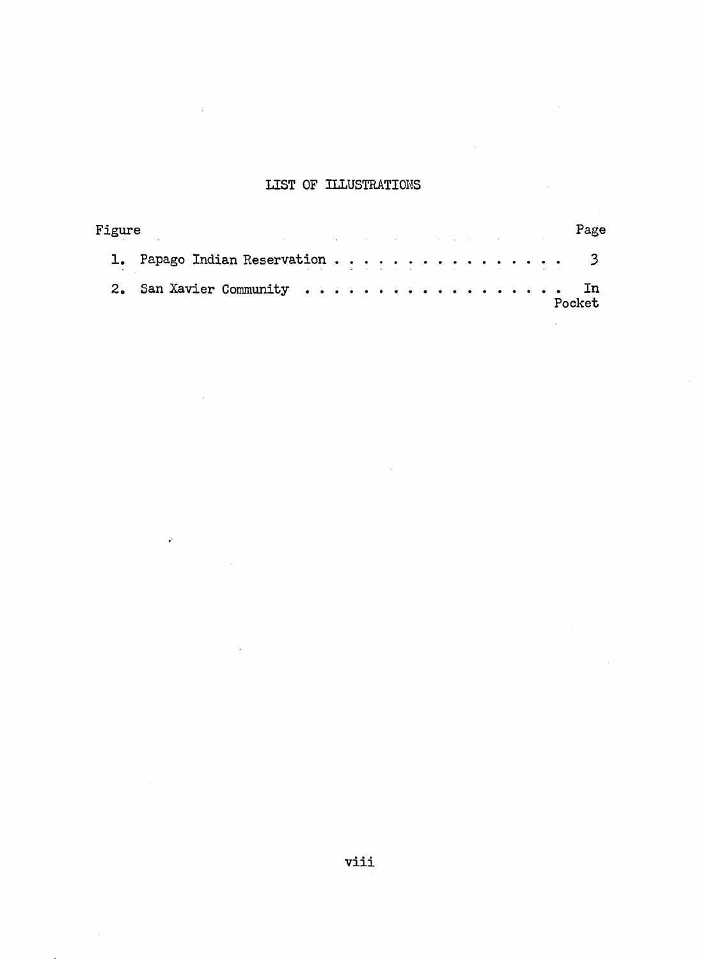# **LIST OF ILLUSTRATIONS**

| Figure | and the control of the control of the control of the control of the control of the control of the control of the                                                                                                                                                |  |  |  |  |  |  |  |  | Page    |
|--------|-----------------------------------------------------------------------------------------------------------------------------------------------------------------------------------------------------------------------------------------------------------------|--|--|--|--|--|--|--|--|---------|
|        | 1. Papago Indian Reservation 3<br>and the second contract of the second contract of the second contract of the second contract of the second contract of the second contract of the second contract of the second contract of the second contract of the second |  |  |  |  |  |  |  |  |         |
|        | 2. San Xavier Community  In                                                                                                                                                                                                                                     |  |  |  |  |  |  |  |  | Pocket. |

V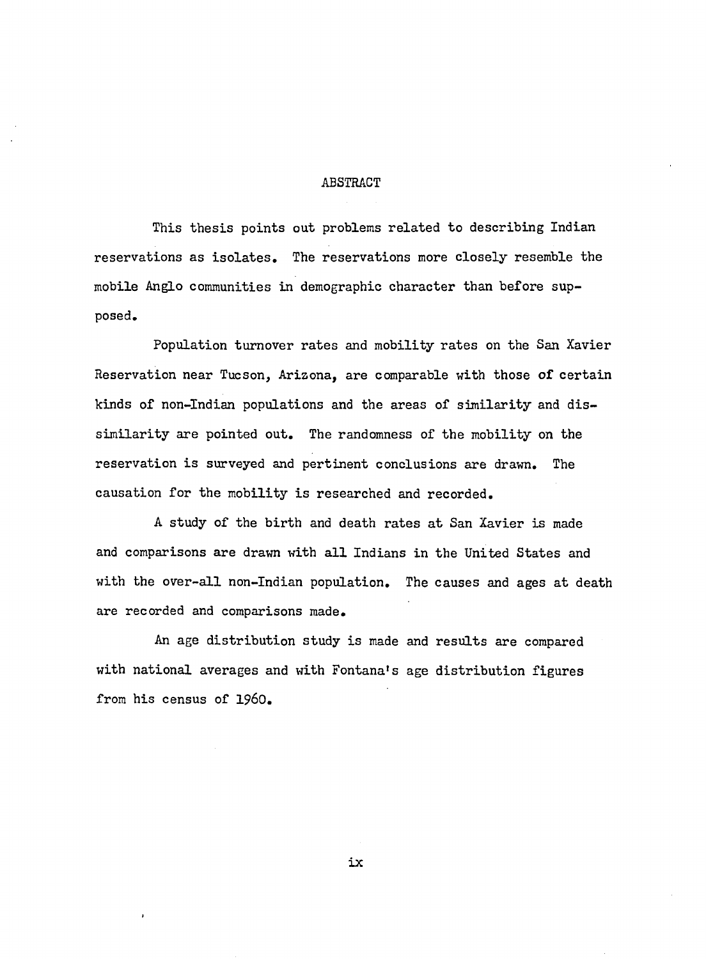## ABSTRACT

This thesis points out problems related to describing Indian reservations as isolates. The reservations more closely resemble the mobile Anglo communities in demographic character than before supposed.

Population turnover rates and mobility rates on the San Xavier Reservation near Tucson, Arizona, are comparable with those of certain kinds of non-Indian populations and the areas of similarity and dissimilarity are pointed out. The randomness of the mobility on the reservation is surveyed and pertinent conclusions are drawn. The causation for the mobility is researched and recorded.

A study of the birth and death rates at San Xavier is made and comparisons are drawn with all Indians in the United States and with the over-all non-Indian population. The causes and ages at death are recorded and comparisons made.

An age distribution study is made and results are compared with national averages and with Fontana's age distribution figures from his census of 1960.

**ix**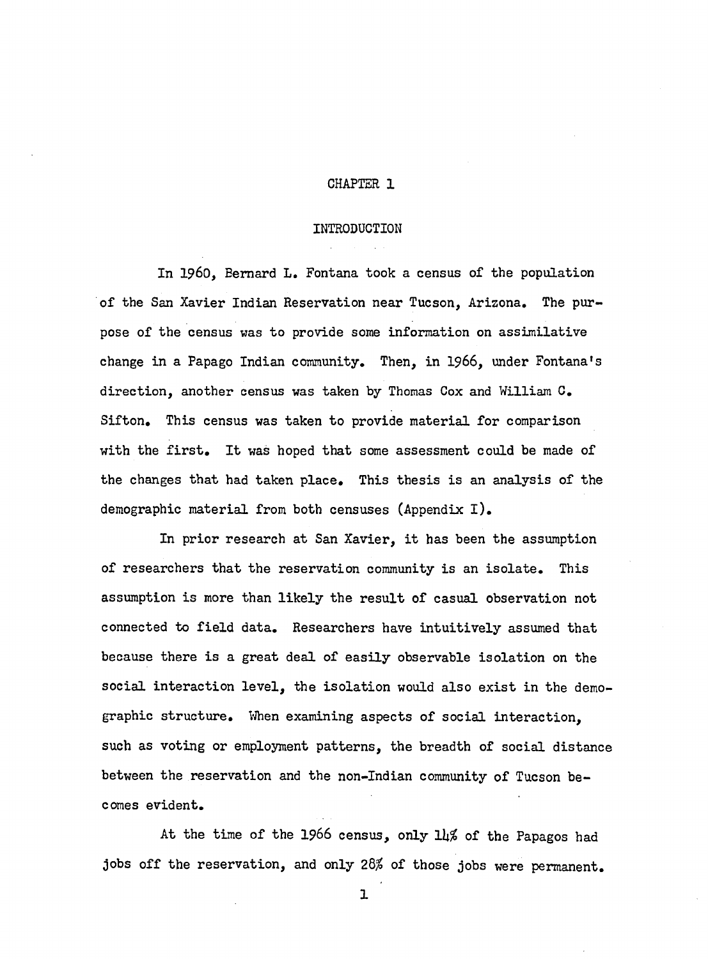## **CHAPTER 1**

#### **INTRODUCTION**

In 1960, Bernard L. Fontana took a census of the population of the San Xavier Indian Reservation near Tucson, Arizona. The purpose of the census was to provide some information on assimilative change in a Papago Indian community. Then, in 1966, under Fontana's direction, another census was taken by Thomas Cox and William C. Sifton. This census was taken to provide material for comparison with the first. It was hoped that some assessment could be made of the changes that had taken place. This thesis is an analysis of the demographic material from both censuses (Appendix I).

In prior research at San Xavier, it has been the assumption of researchers that the reservation community is an isolate. This assumption is more than likely the result of casual observation not connected to field data. Researchers have intuitively assumed that because there is a great deal of easily observable isolation on the social interaction level, the isolation would also exist in the demographic structure. When examining aspects of social interaction, such as voting or employment patterns, the breadth of social distance between the reservation and the non-Indian community of Tucson becomes evident.

At the time of the **1966** census, only *lk%* of the Papagos had jobs off the reservation, and only *2Q%* of those jobs were permanent.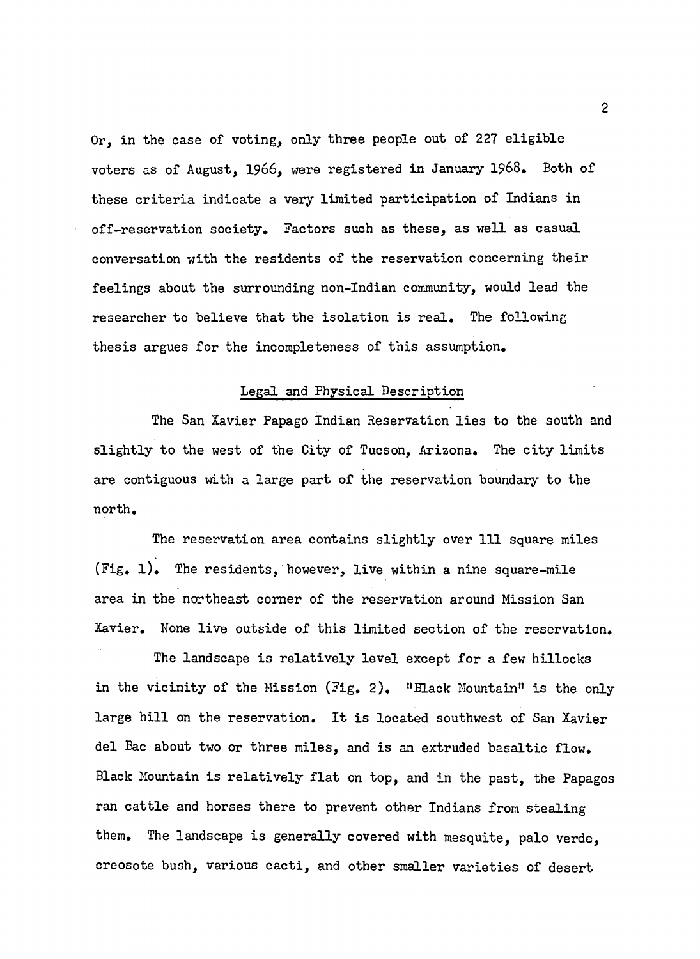Or, in the case of voting, only three people out of 227 eligible voters as of August, **1966**, were registered in January 1968. Both of these criteria indicate a very limited participation of Indians in off-reservation society. Factors such as these, as well as casual conversation with the residents of the reservation concerning their feelings about the surrounding non-Indian community, would lead the researcher to believe that the isolation is real. The following thesis argues for the incompleteness of this assumption.

## Legal and Physical Description

The San Xavier Papago Indian Reservation lies to the south and slightly to the west of the City of Tucson, Arizona. The city limits are contiguous with a large part of the reservation boundary to the north.

The reservation area contains slightly over 111 square miles  $(Fig. 1)$ . The residents, however, live within a nine square-mile area in the northeast corner of the reservation around Mission San Xavier. None live outside of this limited section of the reservation.

The landscape is relatively level except for a few hillocks in the vicinity of the Mission (Fig. 2). "Black Mountain" is the only large hill on the reservation. It is located southwest of San Xavier del Bac about two or three miles, and is an extruded basaltic flow. Black Mountain is relatively flat on top, and in the past, the Papagos ran cattle and horses there to prevent other Indians from stealing them. The landscape is generally covered with mesquite, palo verde, creosote bush, various cacti, and other smaller varieties of desert

 $\overline{c}$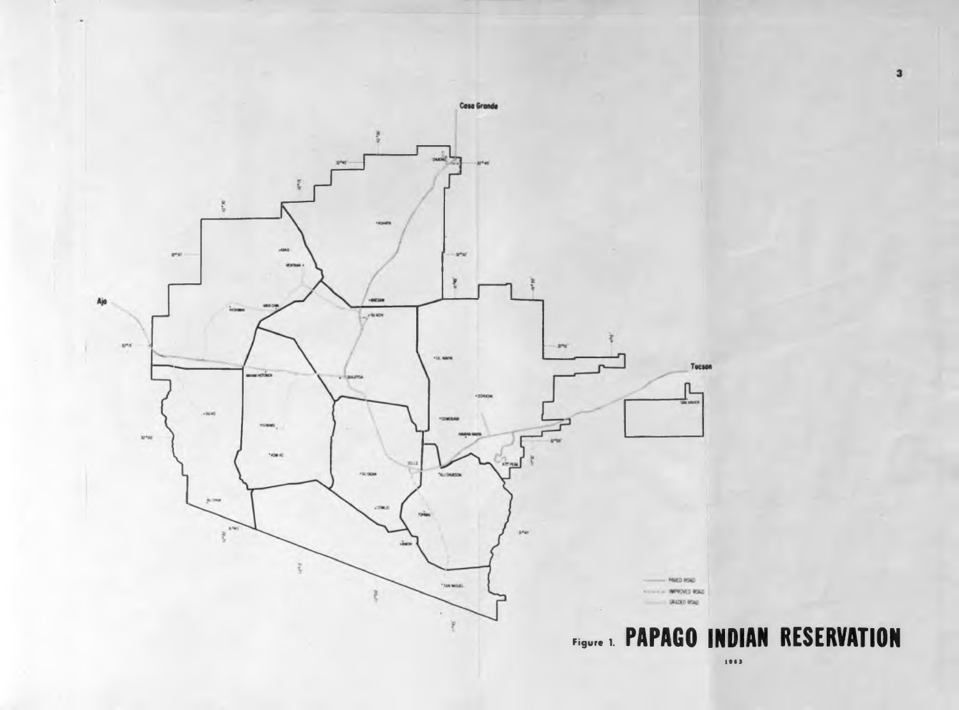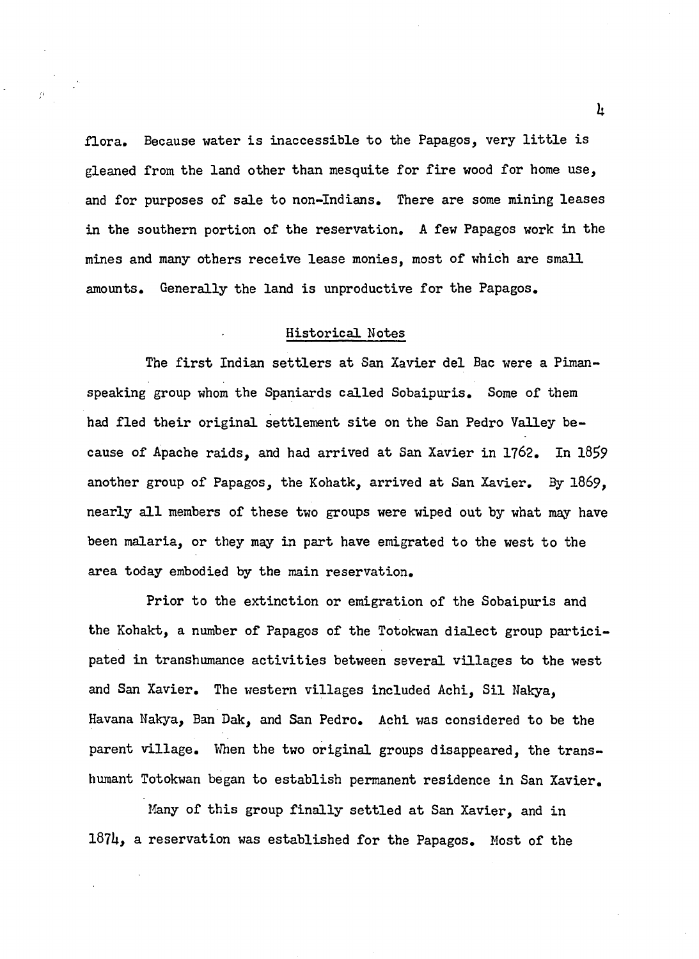flora. Because water is inaccessible to the Papagos, very little is gleaned from the land other than mesquite for fire wood for home use, and for purposes of sale to non-Indians. There are some mining leases in the southern portion of the reservation. A few Papagos work in the mines and many others receive lease monies, most of which are small amounts. Generally the land is unproductive for the Papagos.

#### Historical Notes

The first Indian settlers at San Xavier del Bac were a Pimanspeaking group whom the Spaniards called Sobaipuris. Some of them had fled their original settlement site on the San Pedro Valley because of Apache raids, and had arrived at San Xavier in 1762. In 1859 another group of Papagos, the Kohatk, arrived at San Xavier. By 1869, nearly all members of these two groups were wiped out by what may have been malaria, or they may in part have emigrated to the west to the area today embodied by the main reservation.

Prior to the extinction or emigration of the Sobaipuris and the Kohakt, a number of Papagos of the Totokwan dialect group participated in transhumance activities between several villages to the west and San Xavier. The western villages included Achi, Sil Nakya, Havana Nakya, Ban Dak, and San Pedro. Achi was considered to be the parent village. When the two original groups disappeared, the transhumant Totokwan began to establish permanent residence in San Xavier.

Many of this group finally settled at San Xavier, and in 18?U, a reservation was established for the Papagos. Most of the *h*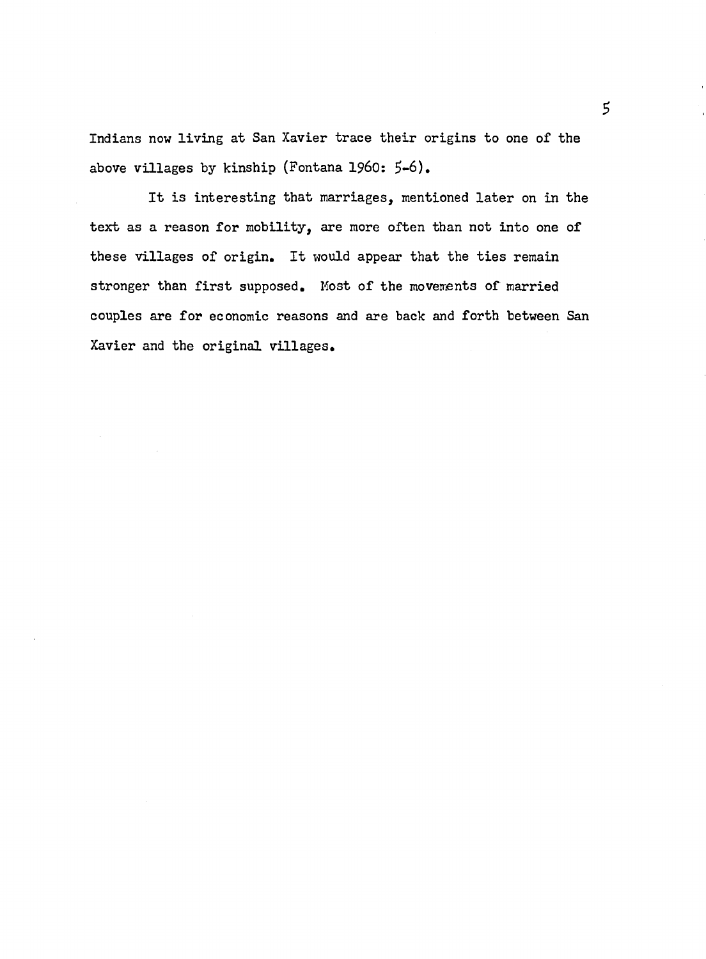Indians now living at San Xavier trace their origins to one of the above villages by kinship (Fontana 1960: 5-6).

It is interesting that marriages, mentioned later on in the text as a reason for mobility, are more often than not into one of these villages of origin. It would appear that the ties remain stronger than first supposed. Most of the movements of married couples are for economic reasons and are back and forth between San Xavier and the original villages.

 $5\overline{)}$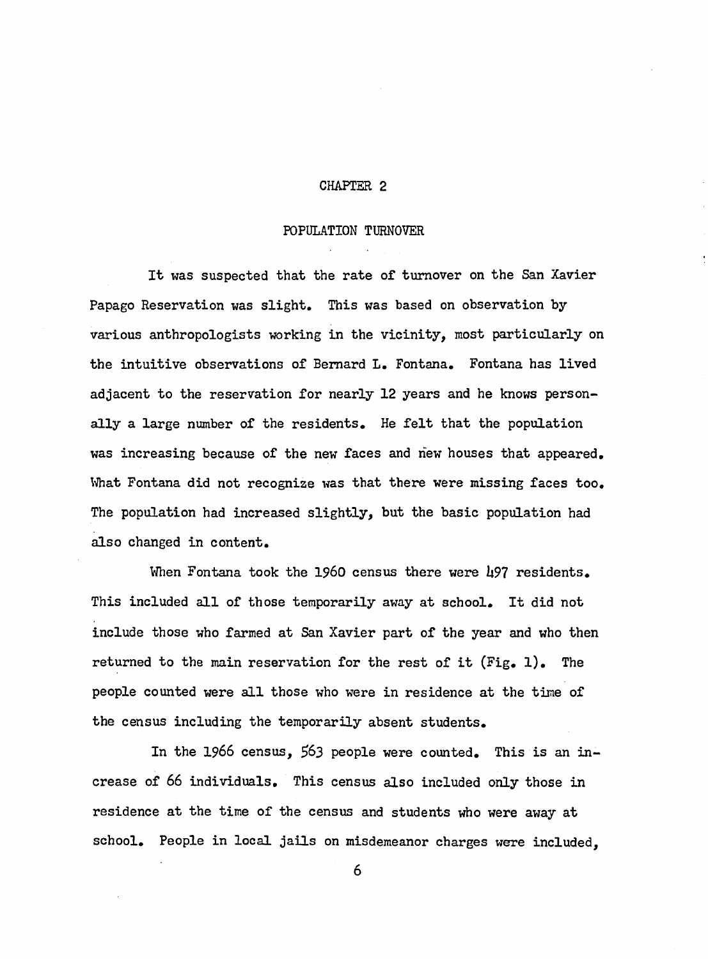#### **CHAPTER 2**

#### POPULATION TURNOVER

It was suspected that the rate of turnover on the San Xavier Papago Reservation was slight. This was based on observation by various anthropologists working in the vicinity, most particularly on the intuitive observations of Bernard L. Fontana. Fontana has lived adjacent to the reservation for nearly **12** years and he knows personally a large number of the residents. He felt that the population was increasing because of the new faces and new houses that appeared. What Fontana did not recognize was that there were missing faces too. The population had increased slightly, but the basic population had also changed in content.

When Fontana took the 1960 census there were 497 residents. This included all of those temporarily away at school. It did not include those who farmed at San Xavier part of the year and who then returned to the main reservation for the rest of it  $(Fig, 1)$ . The people counted were all those who were in residence at the time of the census including the temporarily absent students.

In the **1966** census, **£63** people were counted. This is an increase of **66** individuals. This census also included only those in residence at the time of the census and students who were away at school. People in local jails on misdemeanor charges were included.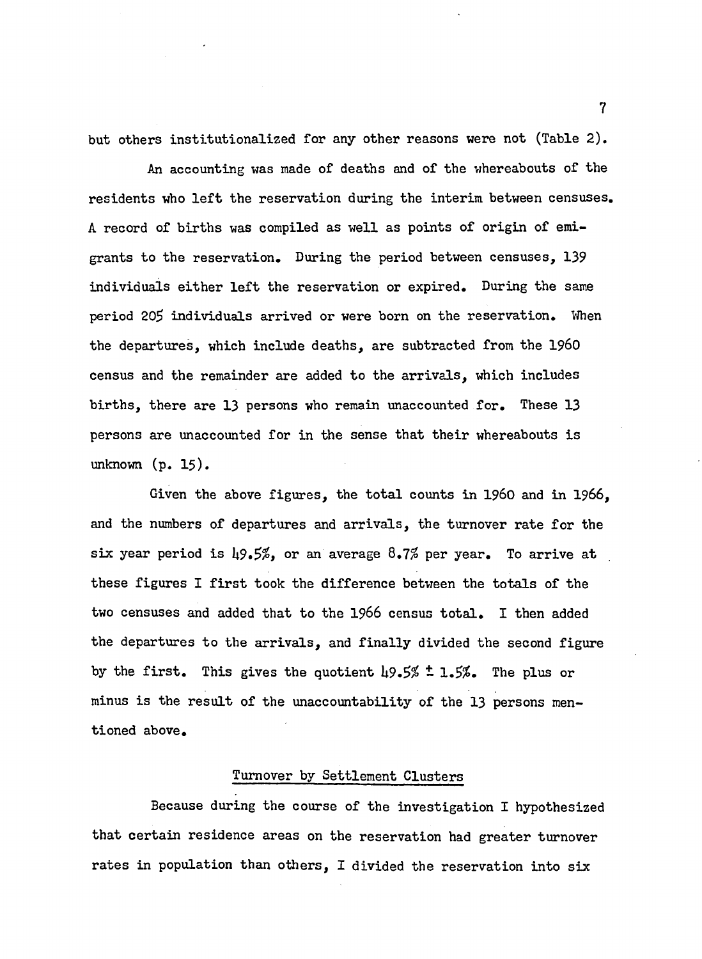but others institutionalized for any other reasons were not (Table 2).

An accounting was made of deaths and of the whereabouts of the residents who left the reservation during the interim between censuses. A record of births was compiled as well as points of origin of emigrants to the reservation. During the period between censuses, 139 individuals either left the reservation or expired. During the same period 205 individuals arrived or were born on the reservation. When the departures, which include deaths, are subtracted from the I **960** census and the remainder are added to the arrivals, which includes births, there are 13 persons who remain unaccounted for. These 13 persons are unaccounted for in the sense that their whereabouts is unknown (p. **15**).

Given the above figures, the total counts in 1960 and in 1966, and the numbers of departures and arrivals, the turnover rate for the six year period is  $\frac{19.5}{6}$ , or an average  $8.7\%$  per year. To arrive at these figures I first took the difference between the totals of the two censuses and added that to the 1966 census total. I then added the departures to the arrivals, and finally divided the second figure by the first. This gives the quotient  $\mu$ 9.5%  $\pm$  1.5%. The plus or minus is the result of the unaccountability of the 13 persons mentioned above.

# Turnover by Settlement Clusters

Because during the course of the investigation I hypothesized that certain residence areas on the reservation had greater turnover rates in population than others, I divided the reservation into six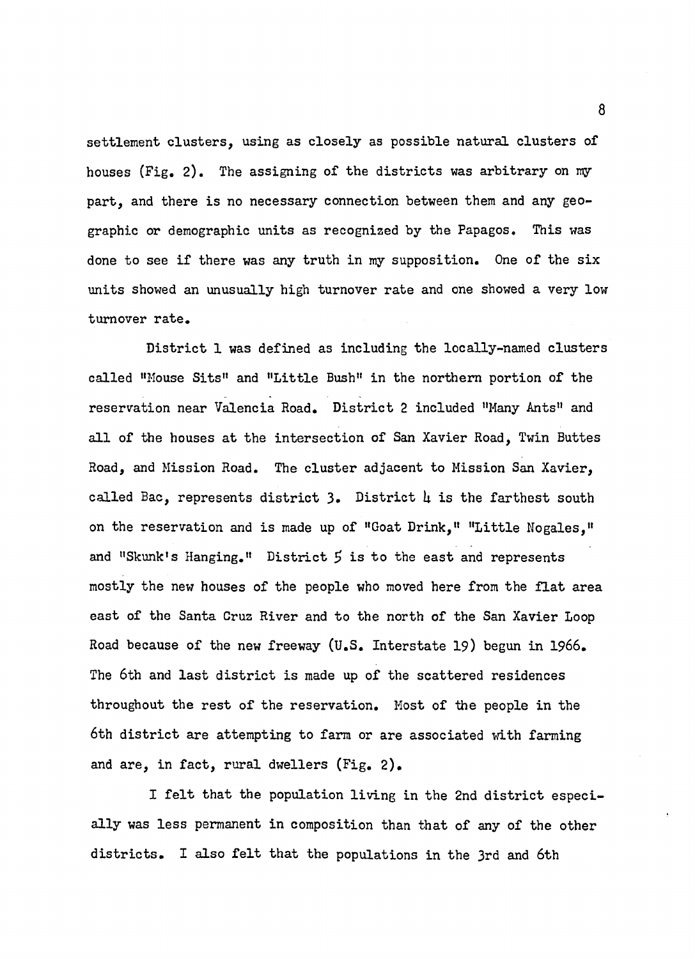settlement clusters, using as closely as possible natural clusters of houses (Fig. 2). The assigning of the districts was arbitrary on my part, and there is no necessary connection between them and any geographic or demographic units as recognized by the Papagos. This was done to see if there was any truth in my supposition. One of the six units showed an unusually high turnover rate and one showed a very low turnover rate.

District 1 was defined as including the locally-named clusters called "Mouse Sits" and "Little Bush" in the northern portion of the reservation near Valencia Road. District 2 included "Many Ants" and all of the houses at the intersection of San Xavier Road, Twin Buttes Road, and Mission Road. The cluster adjacent to Mission San Xavier, called Bac, represents district 3. District  $\mu$  is the farthest south on the reservation and is made up of "Goat Drink," "Little Nogales," and "Skunk's Hanging." District  $5$  is to the east and represents mostly the new houses of the people who moved here from the flat area east of the Santa Cruz River and to the north of the San Xavier Loop Road because of the new freeway (U.S. Interstate 19) begun in 1966. The 6th and last district is made up of the scattered residences throughout the rest of the reservation. Most of the people in the 6th district are attempting to farm or are associated with farming and are, in fact, rural dwellers (Fig. 2).

I felt that the population living in the 2nd district especially was less permanent in composition than that of any of the other districts. I also felt that the populations in the 3rd and 6th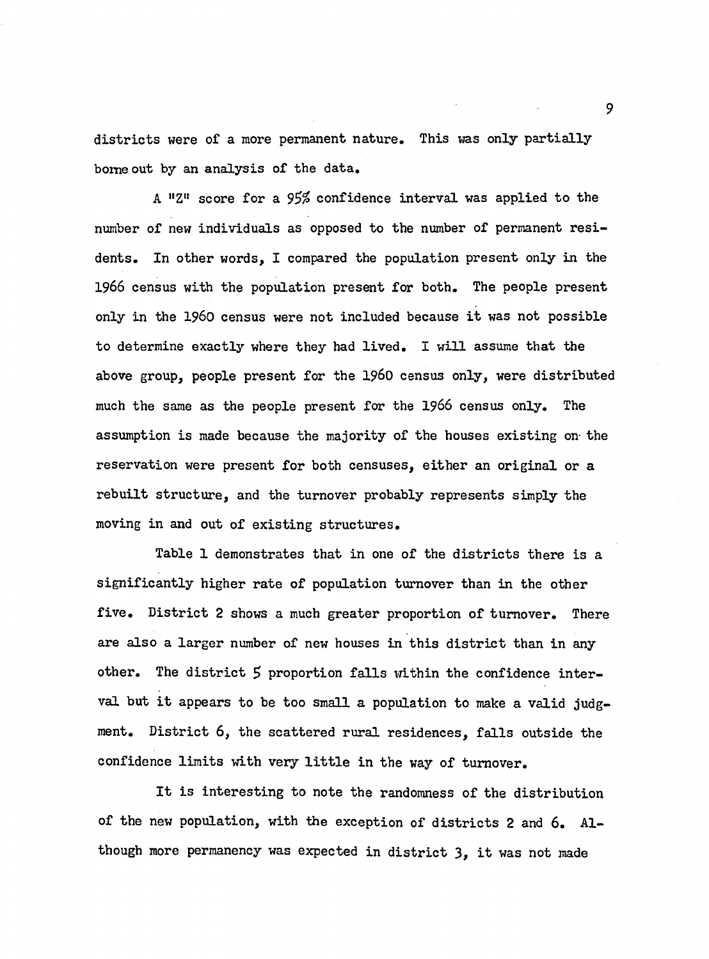districts were of a more permanent nature. This was only partially home out by an analysis of the data.

A "Z" score for a  $95\%$  confidence interval was applied to the number of new individuals as opposed to the number of permanent residents. In other words, I compared the population present only in the **1966** census with the population present for both. The people present only in the 1960 census were not included because it was not possible to determine exactly where they had lived. I w ill assume that the above group, people present for the 1960 census only, were distributed much the same as the people present for the 1966 census only. The assumption is made because the majority of the houses existing on the reservation were present for both censuses, either an original or a rebuilt structure, and the turnover probably represents simply the moving in and out of existing structures.

Table 1 demonstrates that in one of the districts there is a significantly higher rate of population turnover than in the other five. District 2 shows a much greater proportion of turnover. There are also a larger number of new houses in this district than in any other. The district 5 proportion falls within the confidence interval but it appears to be too small a population to make a valid judgment. District 6, the scattered rural residences, falls outside the confidence limits with very little in the way of turnover.

It is interesting to note the randomness of the distribution of the new population, with the exception of districts 2 and 6. Although more permanency was expected in district  $3$ , it was not made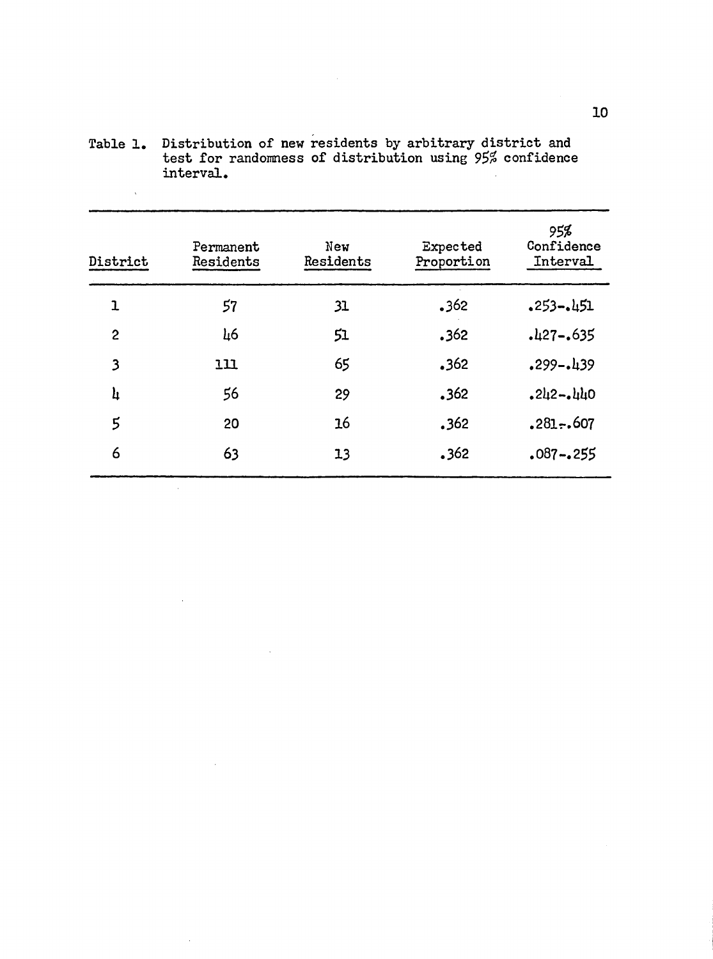| District       | Permanent<br>Residents | New<br>Residents | Expected<br>Proportion | 95%<br>Confidence<br>Interval |
|----------------|------------------------|------------------|------------------------|-------------------------------|
| $\mathbf{1}$   | 57                     | 31               | .362                   | $.253 - .451$                 |
| $\overline{c}$ | 46                     | 51               | .362                   | $.427-.635$                   |
| 3              | 111                    | 65               | .362                   | $.299 - .439$                 |
| h              | 56                     | 29               | .362                   | $.242 - .440$                 |
| 5              | 20                     | <b>16</b>        | .362                   | $.281-.607$                   |
| 6              | 63                     | 13               | .362                   | .087-.255                     |
|                |                        |                  |                        |                               |

Table 1. Distribution of new residents by arbitrary district and test for randomness of distribution using 95% confidence interval.

 $\bar{\chi}$ 

 $\bar{z}$ 

 $\ddot{\phantom{a}}$ 

l.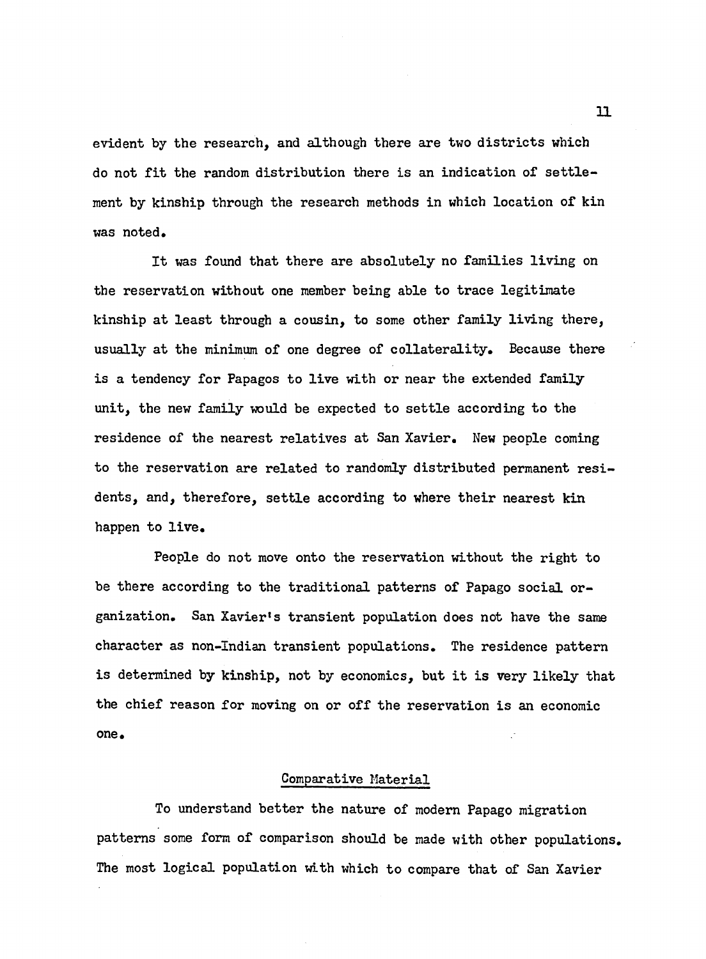evident by the research, and although there are two districts which do not fit the random distribution there is an indication of settlement by kinship through the research methods in which location of kin was noted.

It was found that there are absolutely no families living on the reservation without one member being able to trace legitimate kinship at least through a cousin, to some other family living there. usually at the minimum of one degree of collaterality. Because there is a tendency for Papagos to live with or near the extended family unit, the new family would be expected to settle according to the residence of the nearest relatives at San Xavier. New people coming to the reservation are related to randomly distributed permanent residents, and, therefore, settle according to where their nearest kin happen to live.

People do not move onto the reservation without the right to be there according to the traditional patterns of Papago social organization. San Xavier1s transient population does not have the same character as non-Indian transient populations. The residence pattern is determined by kinship, not by economics, but it is very likely that the chief reason for moving on or off the reservation is an economic one.

## Comparative Material

To understand better the nature of modern Papago migration patterns some form of comparison should be made with other populations. The most logical population with which to compare that of San Xavier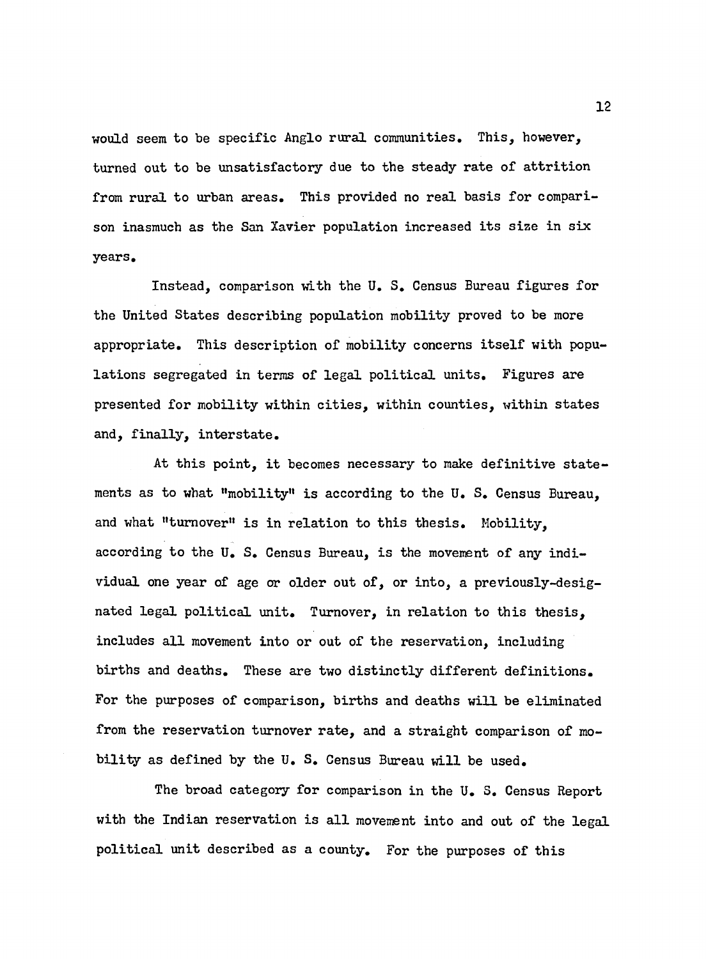would seem to be specific Anglo rural communities. This, however, turned out to be unsatisfactory due to the steady rate of attrition from rural to urban areas. This provided no real basis for comparison inasmuch as the San Xavier population increased its size in six years.

Instead, comparison with the U. S. Census Bureau figures for the United States describing population mobility proved to be more appropriate. This description of mobility concerns itself with populations segregated in terms of legal political units. Figures are presented for mobility within cities, within counties, within states and, finally, interstate.

At this point, it becomes necessary to make definitive statements as to what "mobility" is according to the U. S. Census Bureau, and what "turnover" is in relation to this thesis. Mobility, according to the U. S. Census Bureau, is the movement of any individual one year of age or older out of, or into, a previously-designated legal political unit. Turnover, in relation to this thesis, includes all movement into or out of the reservation, including births and deaths. These are two distinctly different definitions. For the purposes of comparison, births and deaths will be eliminated from the reservation turnover rate, and a straight comparison of mobility as defined by the U. S. Census Bureau will be used.

The broad category for comparison in the U. S. Census Report with the Indian reservation is all movement into and out of the legal political unit described as a county. For the purposes of this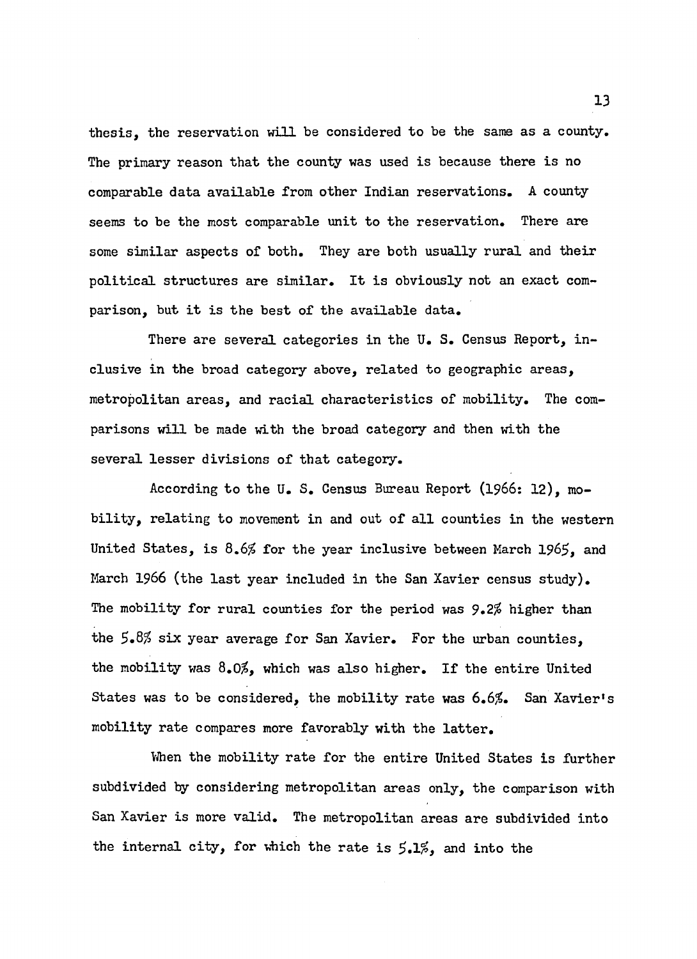thesis, the reservation will be considered to be the same as a county. The primary reason that the county was used is because there is no comparable data available from other Indian reservations. A county seems to be the most comparable unit to the reservation. There are some similar aspects of both. They are both usually rural and their political structures are similar. It is obviously not an exact comparison, but it is the best of the available data.

There are several categories in the U. S. Census Report, inclusive in the broad category above, related to geographic areas, metropolitan areas, and racial characteristics of mobility. The comparisons will be made with the broad category and then with the several lesser divisions of that category.

According to the U. S. Census Bureau Report (1966: 12), mobility, relating to movement in and out of all counties in the western United States, is  $8.6\%$  for the year inclusive between March 1965, and March 1966 (the last year included in the San Xavier census study). The mobility for rural counties for the period was 9.2% higher than the  $5.8\%$  six year average for San Xavier. For the urban counties, the mobility was  $8.0\%$ , which was also higher. If the entire United States was to be considered, the mobility rate was  $6.6\%$ . San Xavier's mobility rate compares more favorably with the latter.

When the mobility rate for the entire United States is further subdivided by considering metropolitan areas only, the comparison with San Xavier is more valid. The metropolitan areas are subdivided into the internal city, for which the rate is  $5.1\%$ , and into the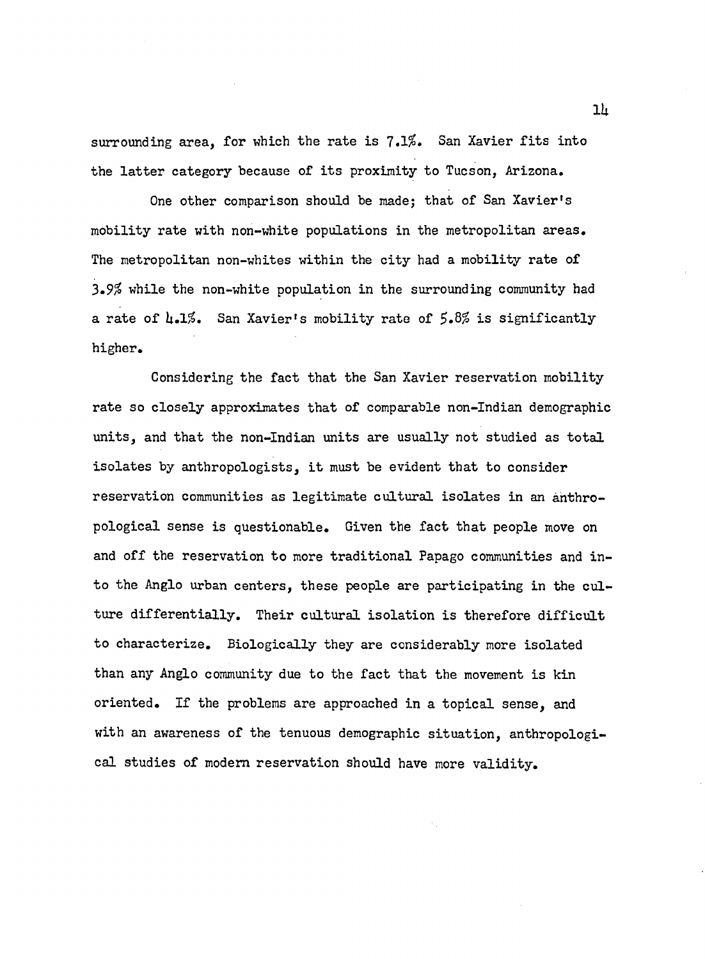surrounding area, for which the rate is 7.1%. San Xavier fits into the latter category because of its proximity to Tucson, Arizona.

One other comparison should be made; that of San Xavier's mobility rate with non-white populations in the metropolitan areas. The metropolitan non-whites within the city had a mobility rate of 3.9% while the non-white population in the surrounding community had a rate of U.1%. San Xavier's mobility rate of *\$.8%* is significantly higher.

Considering the fact that the San Xavier reservation mobility rate so closely approximates that of comparable non-Indian demographic units, and that the non-Indian units are usually not studied as total isolates by anthropologists, it must be evident that to consider reservation communities as legitimate cultural isolates in an anthropological sense is questionable. Given the fact that people move on and off the reservation to more traditional Papago communities and into the Anglo urban centers, these people are participating in the culture differentially. Their cultural isolation is therefore difficult to characterize. Biologically they are considerably more isolated than any Anglo community due to the fact that the movement is kin oriented. If the problems are approached in a topical sense, and with an awareness of the tenuous demographic situation, anthropological studies of modern reservation should have more validity.

*Ik*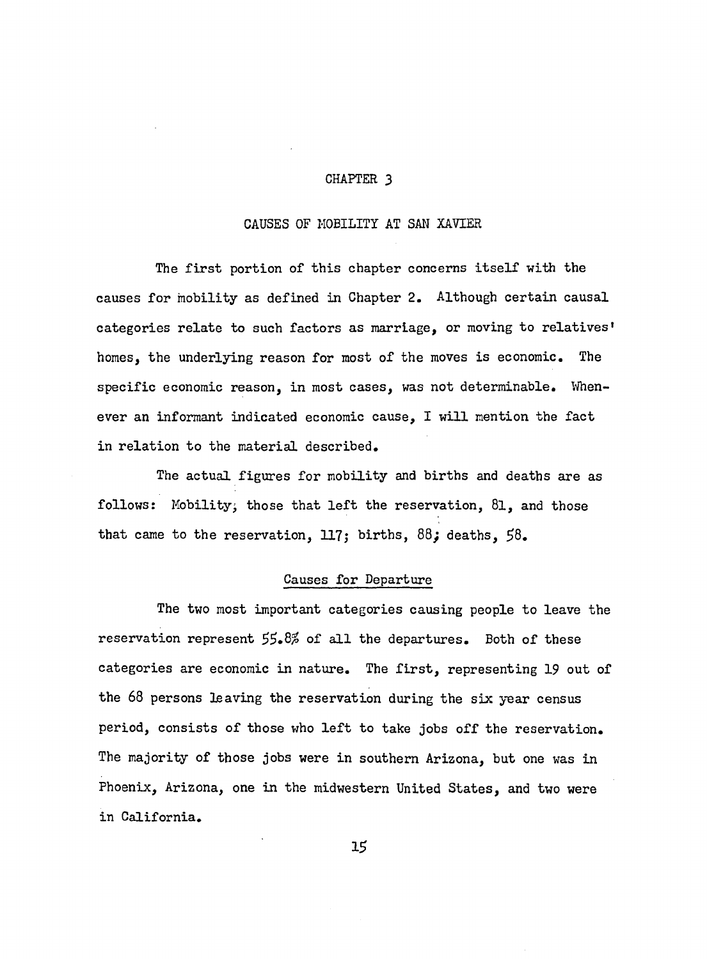## **CHAPTER 3**

## CAUSES OF MOBILITY AT SAN XAVIER

The first portion of this chapter concerns itself with the causes for mobility as defined in Chapter 2. Although certain causal categories relate to such factors as marriage, or moving to relatives' homes, the underlying reason for most of the moves is economic. The specific economic reason, in most cases, was not determinable. Whenever an informant indicated economic cause, I will mention the fact in relation to the material described.

The actual figures for mobility and births and deaths are as follows: Mobility; those that left the reservation,  $81$ , and those that came to the reservation, 117; births, 88; deaths, 58.

#### Causes for Departure

The two most important categories causing people to leave the reservation represent  $55.8\%$  of all the departures. Both of these categories are economic in nature. The first, representing 19 out of the 68 persons leaving the reservation during the six year census period, consists of those who left to take jobs off the reservation. The majority of those jobs were in southern Arizona, but one was in Phoenix, Arizona, one in the midwestern United States, and two were in California.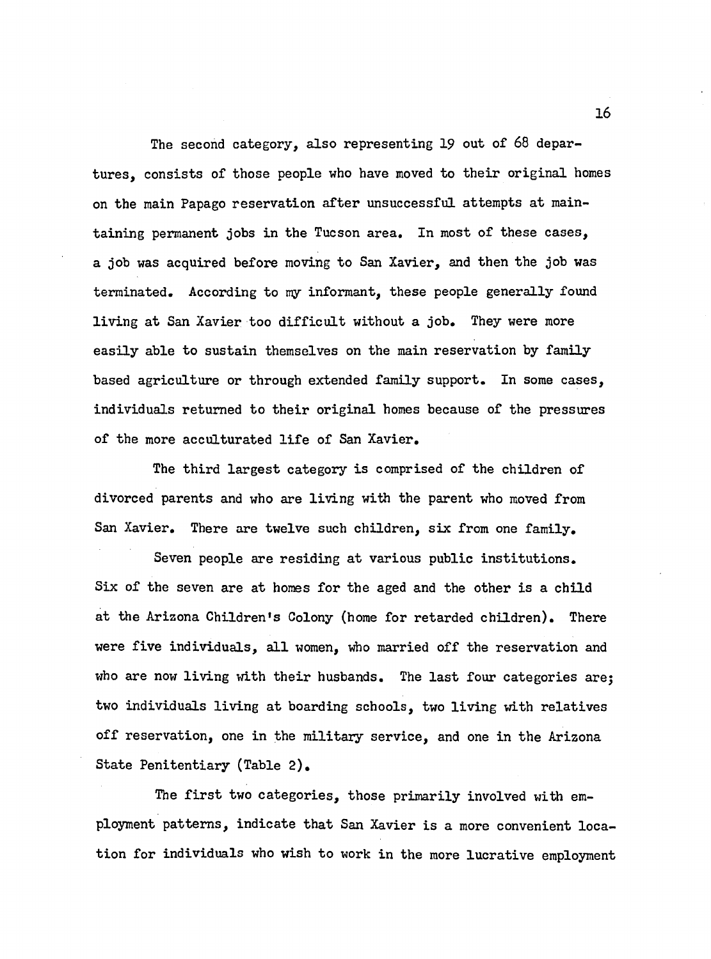The second category, also representing 19 out of 68 departures, consists of those people who have moved to their original homes on the main Papago reservation after unsuccessful attempts at maintaining permanent jobs in the Tucson area. In most of these cases, a job was acquired before moving to San Xavier, and then the job was terminated. According to my informant, these people generally found living at San Xavier too difficult without a job. They were more easily able to sustain themselves on the main reservation by family based agriculture or through extended family support. In some cases, individuals returned to their original homes because of the pressures of the more acculturated life of San Xavier.

The third largest category is comprised of the children of divorced parents and who are living with the parent who moved from San Xavier. There are twelve such children, six from one family.

Seven people are residing at various public institutions. Six of the seven are at homes for the aged and the other is a child at the Arizona Children's Colony (home for retarded children). There were five individuals, all women, who married off the reservation and who are now living with their husbands. The last four categories are; two individuals living at boarding schools, two living with relatives off reservation, one in the military service, and one in the Arizona State Penitentiary (Table 2).

The first two categories, those primarily involved with employment patterns, indicate that San Xavier is a more convenient location for individuals who wish to work in the more lucrative employment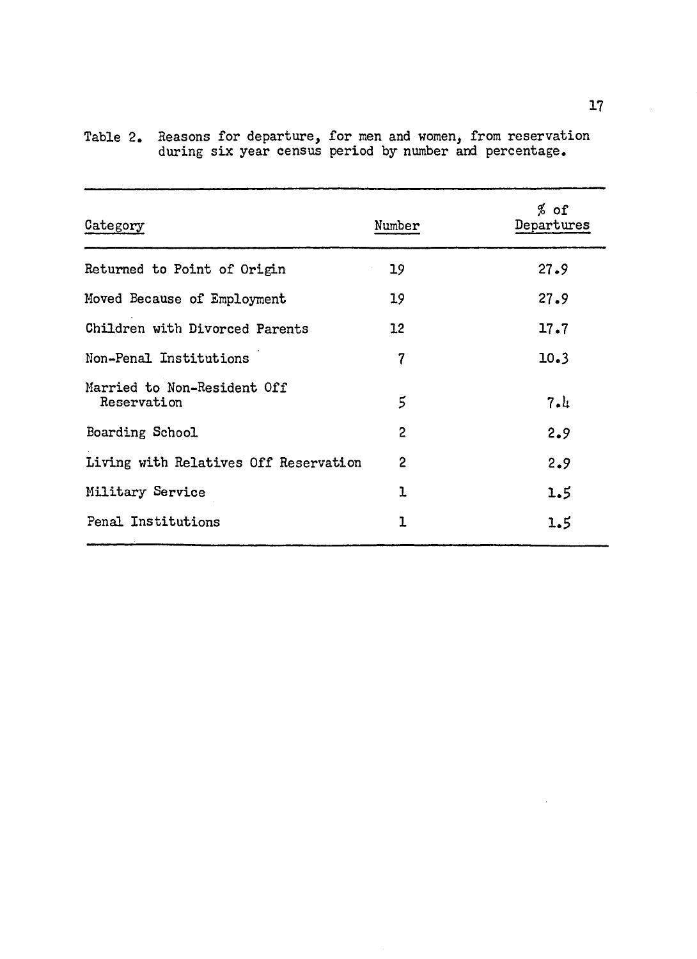| Category                                   | Number            | $%$ of<br>Departures |
|--------------------------------------------|-------------------|----------------------|
| Returned to Point of Origin                | 19                | 27.9                 |
| Moved Because of Employment                | 19                | 27.9                 |
| Children with Divorced Parents             | $12 \overline{ }$ | 17.7                 |
| Non-Penal Institutions                     | 7                 | 10.3                 |
| Married to Non-Resident Off<br>Reservation | 5                 | 7.1                  |
| Boarding School                            | $\overline{2}$    | 2.9                  |
| Living with Relatives Off Reservation      | $\overline{2}$    | 2.9                  |
| Military Service                           | ı                 | 1.5                  |
| Penal Institutions                         | 1                 | 1.5                  |
|                                            |                   |                      |

Table 2. Reasons for departure, for men and women, from reservation during six year census period by number and percentage.

 $\mathcal{L}$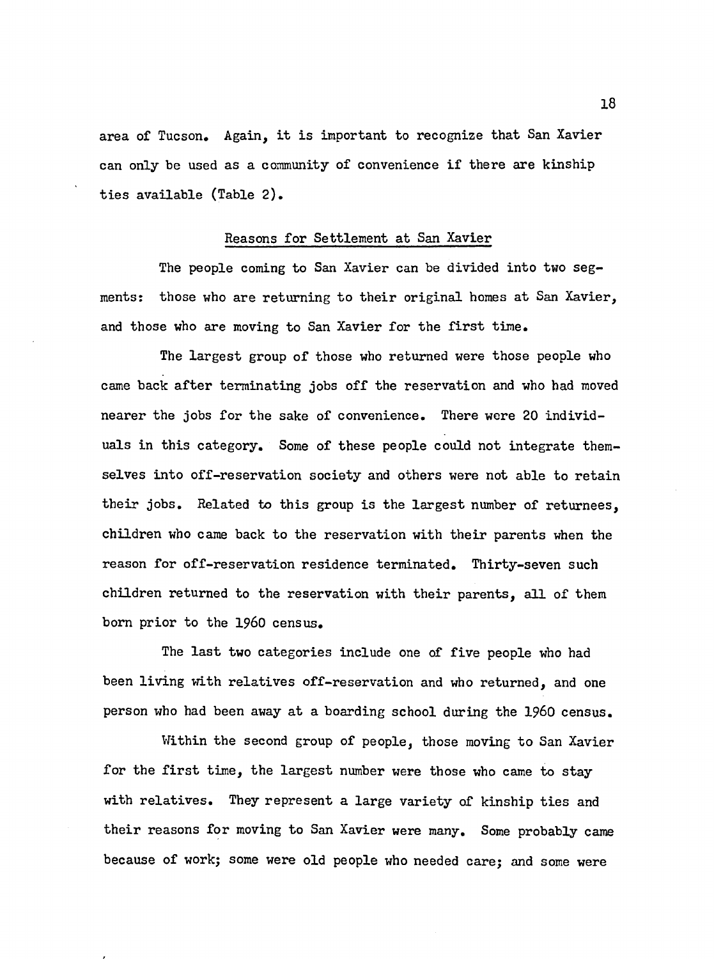area of Tucson. Again, it is important to recognize that San Xavier can only be used as a community of convenience if there are kinship ties available (Table 2).

## Reasons for Settlement at San Xavier

The people coming to San Xavier can be divided into two segments: those who are returning to their original homes at San Xavier, and those who are moving to San Xavier for the first time.

The largest group of those who returned were those people who came back after terminating jobs off the reservation and who had moved nearer the jobs for the sake of convenience. There were 20 individuals in this category. Some of these people could not integrate themselves into off-reservation society and others were not able to retain their jobs. Related to this group is the largest number of returnees, children who came back to the reservation with their parents when the reason for off-reservation residence terminated. Thirty-seven such children returned to the reservation with their parents. all of them born prior to the I960 census.

The last two categories include one of five people who had been living with relatives off-reservation and who returned, and one person who had been away at a boarding school during the i **960** census.

Within the second group of people, those moving to San Xavier for the first time, the largest number were those who came to stay with relatives. They represent a large variety of kinship ties and their reasons for moving to San Xavier were many. Some probably came because of work; some were old people who needed care; and some were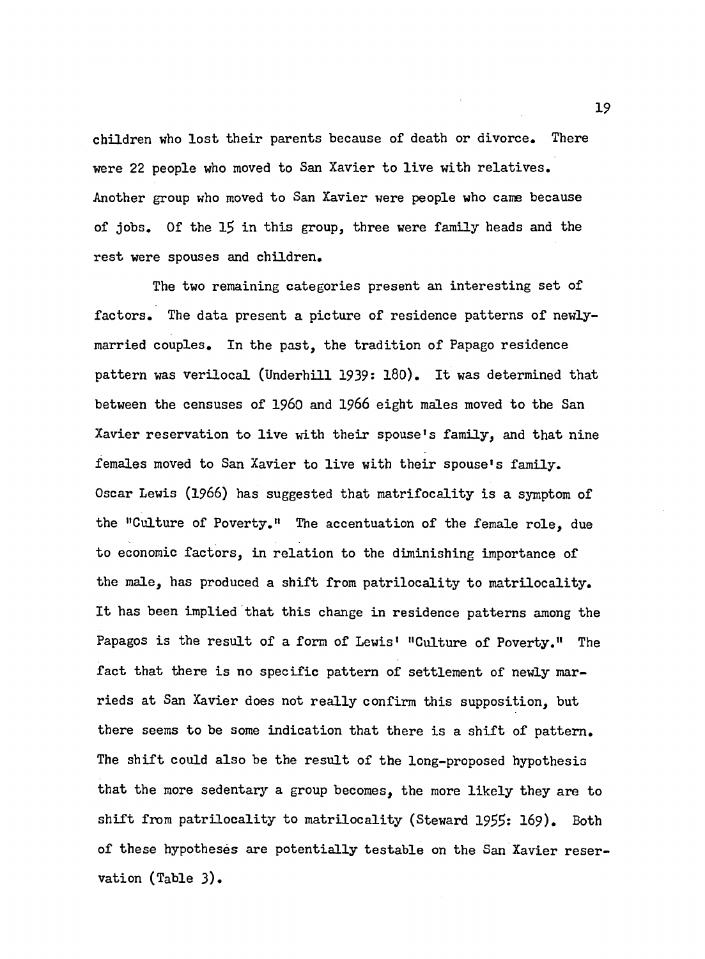children who lost their parents because of death or divorce. There were 22 people who moved to San Xavier to live with relatives. Another group who moved to San Xavier were people who came because of jobs. Of the 15 in this group, three were family heads and the rest were spouses and children.

The two remaining categories present an interesting set of factors. The data present a picture of residence patterns of newlymarried couples. In the past, the tradition of Papago residence pattern was verilocal (Underhill 1939: 180). It was determined that between the censuses of I960 and 1966 eight males moved to the San Xavier reservation to live with their spouse's family, and that nine females moved to San Xavier to live with their spouse's family. Oscar Lewis (1966) has suggested that matrifocality is a symptom of the "Culture of Poverty." The accentuation of the female role, due to economic factors, in relation to the diminishing importance of the male, has produced a shift from patrilocality to matrilocality. It has been implied that this change in residence patterns among the Papagos is the result of a form of Lewis' "Culture of Poverty." The fact that there is no specific pattern of settlement of newly marrieds at San Xavier does not really confirm this supposition, but there seems to be some indication that there is a shift of pattern. The shift could also be the result of the long-proposed hypothesis that the more sedentary a group becomes, the more likely they are to shift from patrilocality to matrilocality (Steward 1955: 169). Both of these hypotheses are potentially testable on the San Xavier reservation (Table 3).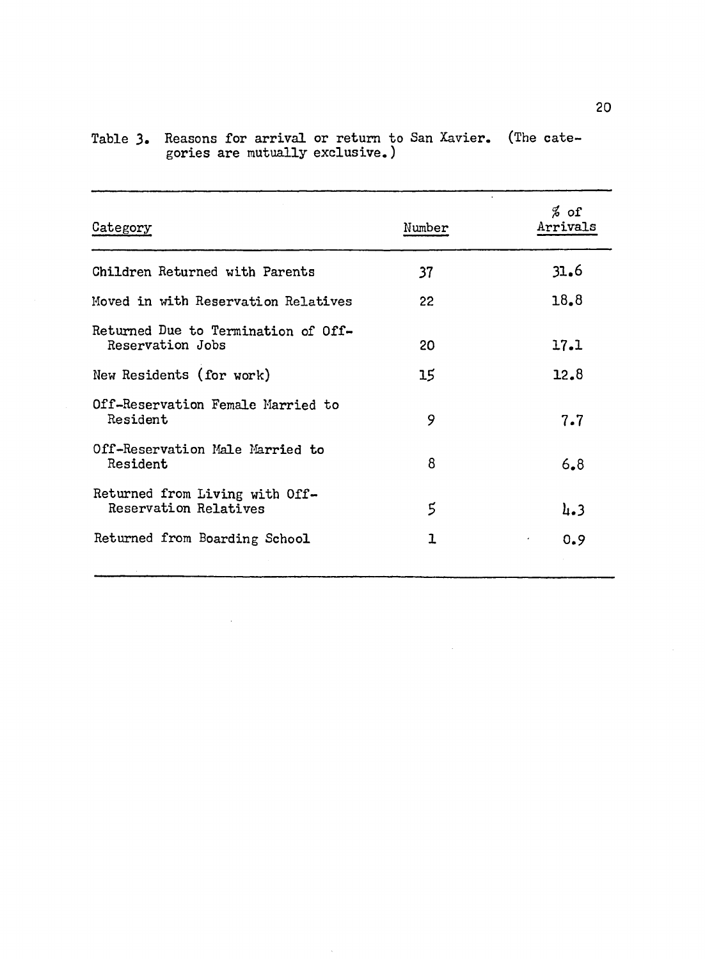| Category                                                | Number | $%$ of<br>Arrivals |
|---------------------------------------------------------|--------|--------------------|
| Children Returned with Parents                          | 37     | 31.6               |
| Moved in with Reservation Relatives                     | 22     | 18.8               |
| Returned Due to Termination of Off-<br>Reservation Jobs | 20     | 17.1               |
| New Residents (for work)                                | 15     | 12.8               |
| Off-Reservation Female Married to<br>Resident           | 9      | 7.7                |
| Off-Reservation Male Married to<br>Resident             | 8      | 6.8                |
| Returned from Living with Off-<br>Reservation Relatives | 5      | 4.3                |
| Returned from Boarding School                           | 1      | 0.9                |
|                                                         |        |                    |

 $\mathcal{A}^{\mathcal{A}}$ 

 $\hat{\mathcal{A}}$ 

 $\mathcal{A}$ 

|                                 | Table 3. Reasons for arrival or return to San Xavier. (The cate- |  |
|---------------------------------|------------------------------------------------------------------|--|
| gories are mutually exclusive.) |                                                                  |  |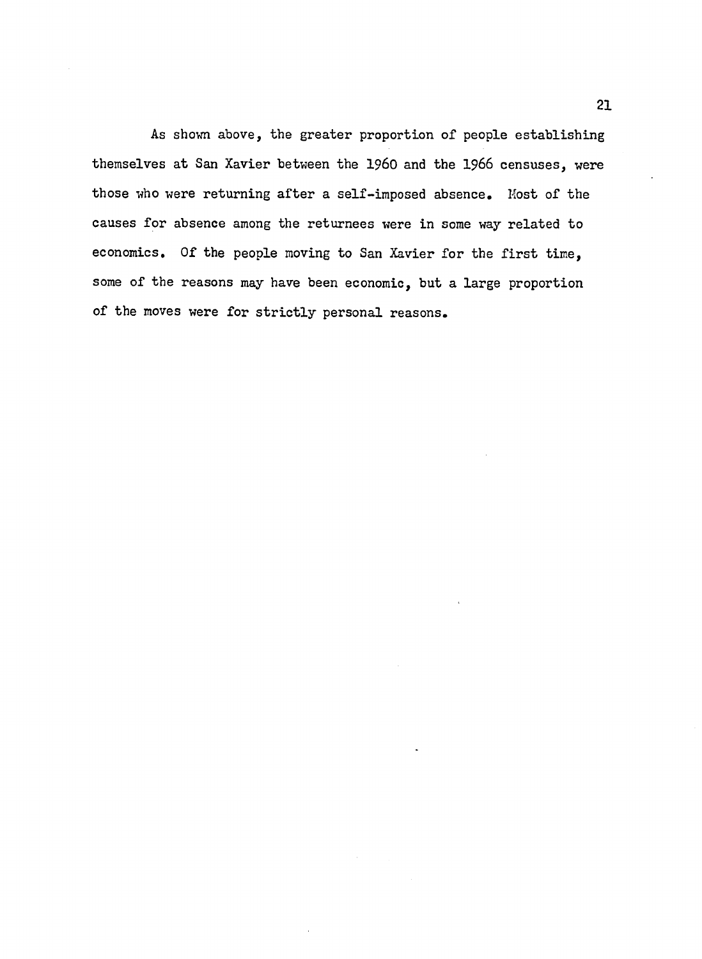As shown above, the greater proportion of people establishing themselves at San Xavier between the i **960** and the **1966** censuses, were those who were returning after a self-imposed absence. Most of the causes for absence among the returnees were in some way related to economics. Of the people moving to San Xavier for the first time, some of the reasons may have been economic, but a large proportion of the moves were for strictly personal reasons.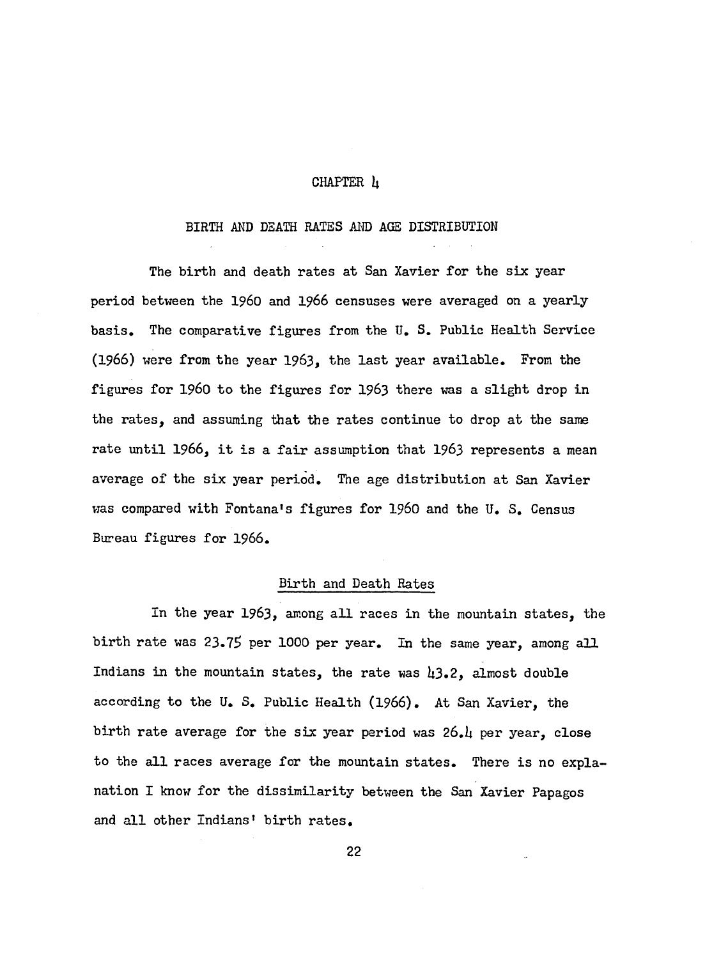#### CHAPTER *k*

## BIRTH AND DEATH RATES AND AGE DISTRIBUTION

The birth and death rates at San Xavier for the six year period between the i **960** and **1966** censuses were averaged on a yearly basis. The comparative figures from the U. S. Public Health Service (1966) were from the year 1963, the last year available. From the figures for 1960 to the figures for 1963 there was a slight drop in the rates, and assuming that the rates continue to drop at the same rate until 1966, it is a fair assumption that 1963 represents a mean average of the six year period. The age distribution at San Xavier was compared with Fontana's figures for i **960** and the U. S. Census Bureau figures for 1966.

## Birth and Death Rates

In the year 1963, among all races in the mountain states, the birth rate was 23.75 per 1000 per year. In the same year, among all Indians in the mountain states, the rate was  $\mu$ 3.2, almost double according to the U. S. Public Health (**1966**). At San Xavier, the birth rate average for the six year period was 26.4 per year, close to the all races average for the mountain states. There is no explanation I know for the dissimilarity between the San Xavier Papagos and all other Indians' birth rates.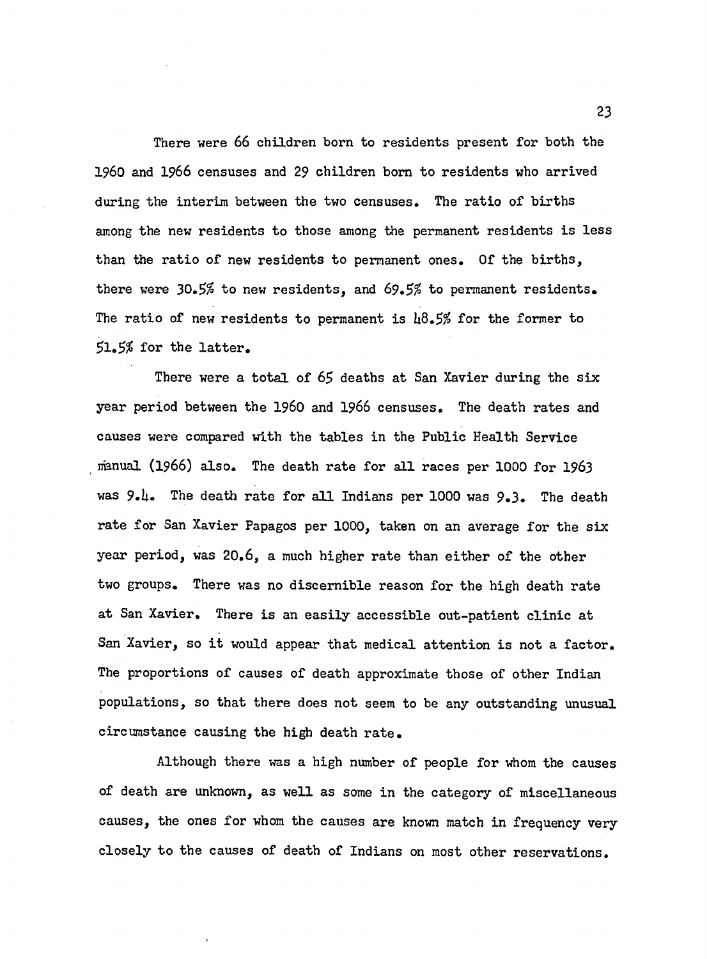There were 66 children born to residents present for both the I960 and 1966 censuses and 29 children bom to residents who arrived during the interim between the two censuses. The ratio of births among the new residents to those among the permanent residents is less than the ratio of new residents to permanent ones. Of the births, there were *30.5%* to new residents, and *69.5%* to permanent residents. The ratio of new residents to permanent is  $\mu\delta$ .5% for the former to  $51.5%$  for the latter.

There were a total of 65 deaths at San Xavier during the six year period between the i **960** and **1966** censuses. The death rates and causes were compared with the tables in the Public Health Service manual (1966) also. The death rate for all races per 1000 for 1963 was 9.4. The death rate for all Indians per 1000 was 9.3. The death rate for San Xavier Papagos per 1000, taken on an average for the six year period, was 20.6, a much higher rate than either of the other two groups. There was no discernible reason for the high death rate at San Xavier. There is an easily accessible out-patient clinic at San Xavier, so it would appear that medical attention is not a factor. The proportions of causes of death approximate those of other Indian populations, so that there does not seem to be any outstanding unusual circumstance causing the high death rate.

Although there was a high number of people for whom the causes of death are unknown, as well as some in the category of miscellaneous causes, the ones for whom the causes are known match in frequency very closely to the causes of death of Indians on most other reservations.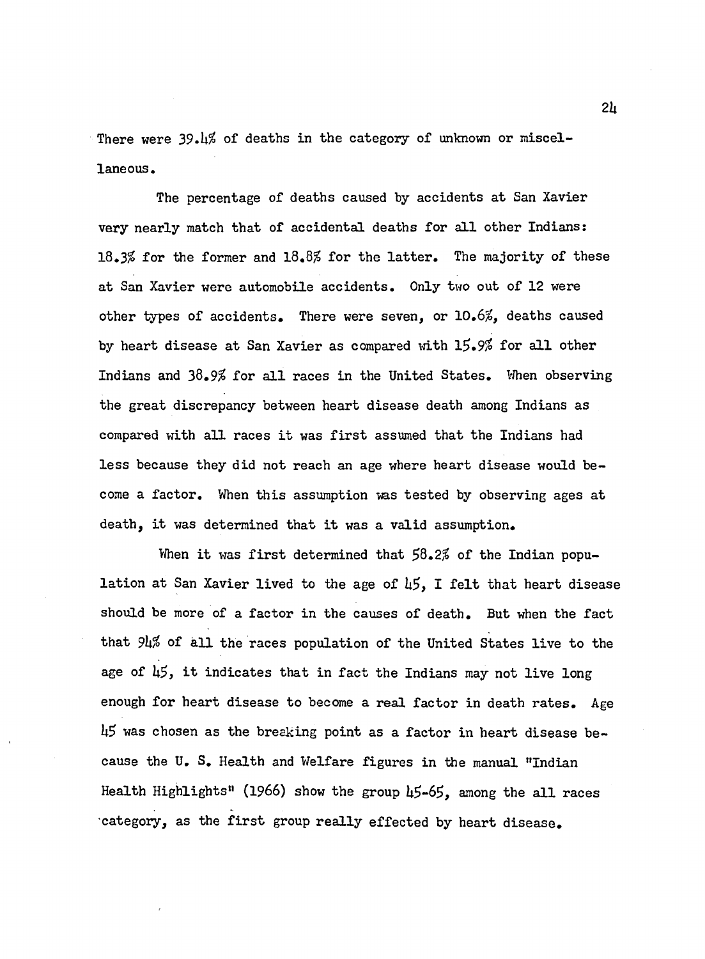There were 39.h<sup>%</sup> of deaths in the category of unknown or miscellaneous.

The percentage of deaths caused by accidents at San Xavier very nearly match that of accidental deaths for all other Indians:  $18.3\%$  for the former and  $18.8\%$  for the latter. The majority of these at San Xavier were automobile accidents. Only two out of 12 were other types of accidents. There were seven, or 10.6%, deaths caused by heart disease at San Xavier as compared with 15.9% for all other Indians and  $38.9\%$  for all races in the United States. When observing the great discrepancy between heart disease death among Indians as compared with all races it was first assumed that the Indians had less because they did not reach an age where heart disease would become a factor. When this assumption was tested by observing ages at death, it was determined that it was a valid assumption.

When it was first determined that  $58.2\%$  of the Indian population at San Xavier lived to the age of  $\mu$ 5, I felt that heart disease should be more of a factor in the causes of death. But when the fact that  $9\nu\%$  of all the races population of the United States live to the age of  $\mu$ 5, it indicates that in fact the Indians may not live long enough for heart disease to become a real factor in death rates. Age  $\mu$ 5 was chosen as the breaking point as a factor in heart disease because the U. S. Health and Welfare figures in the manual "Indian Health Highlights" (1966) show the group 45-65, among the all races reategory, as the first group really effected by heart disease.

*2h*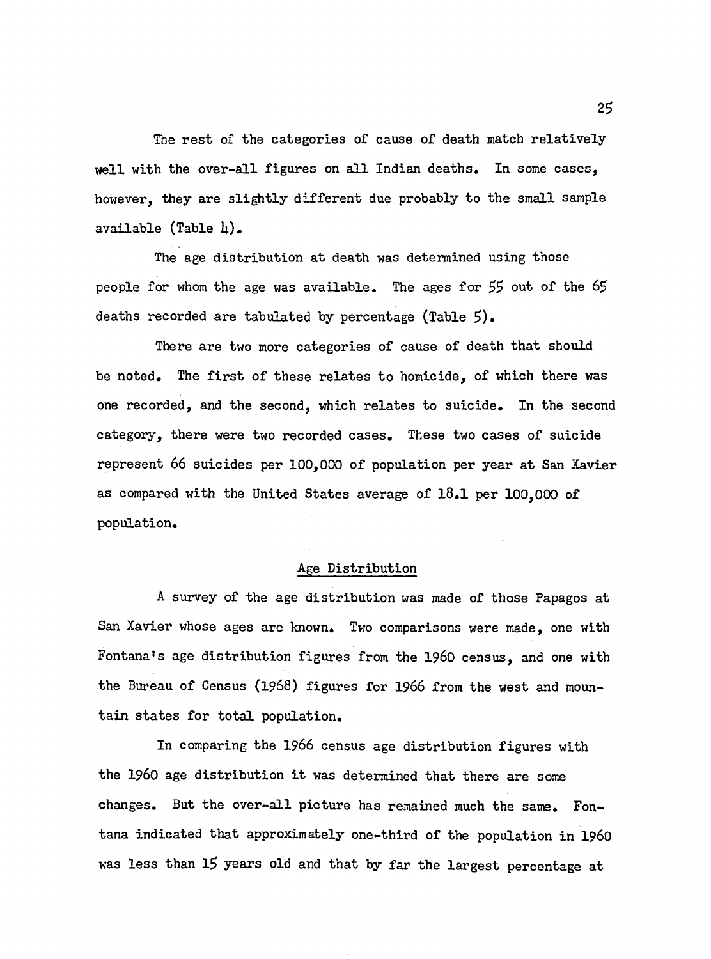The rest of the categories of cause of death match relatively well with the over-all figures on all Indian deaths. In some cases, however, they are slightly different due probably to the small sample available  $(Table \tln)$ .

The age distribution at death was determined using those people for whom the age was available. The ages for  $55$  out of the  $65$ deaths recorded are tabulated by percentage  $(Table 5)$ .

There are two more categories of cause of death that should be noted. The first of these relates to homicide, of which there was one recorded, and the second, which relates to suicide. In the second category, there were two recorded cases. These two cases of suicide represent 66 suicides per 100,000 of population per year at San Xavier as compared with the United States average of 18.1 per 100,000 of population.

### Age Distribution

A survey of the age distribution was made of those Papagos at San Xavier whose ages are known. Two comparisons were made, one with Fontana's age distribution figures from the I960 census, and one with the Bureau of Census (1968) figures for 1966 from the west and mountain states for total population.

In comparing the 1966 census age distribution figures with the 1960 age distribution it was determined that there are some changes. But the over-all picture has remained much the same. Fontana indicated that approximately one-third of the population in 1960 was less than 15 years old and that by far the largest percentage at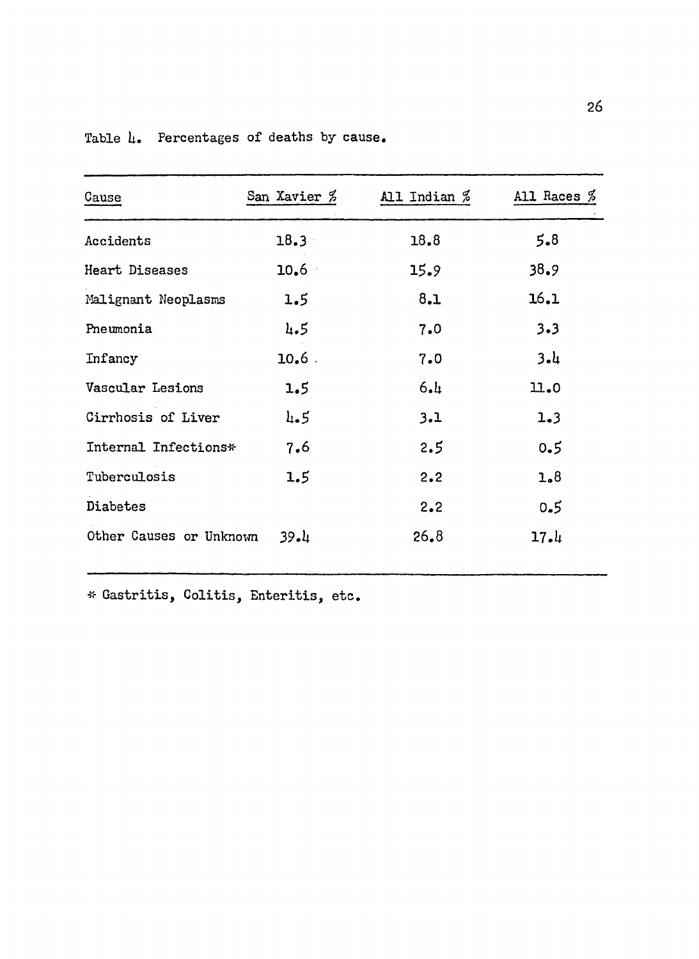| Cause                   | San Xavier $\%$ | All Indian $\%$ | All Races $\%$ |
|-------------------------|-----------------|-----------------|----------------|
| Accidents               | $18.3 -$        | 18.8            | $5 - 8$        |
| Heart Diseases          | $10.6 -$        | 15.9            | 38.9           |
| Malignant Neoplasms     | 1.5             | 8.1             | 16.1           |
| Pneumonia               | 4.5             | 7.0             | $3 - 3$        |
| Infancy                 | $10.6$ .        | 7.0             | 3.4            |
| Vascular Lesions        | 1.5             | 6.1             | 11.0           |
| Cirrhosis of Liver      | 4.5             | 3.1             | 1.3            |
| Internal Infections*    | 7.6             | 2.5             | 0.5            |
| Tuberculosis            | 1.5             | 2.2             | 1.8            |
| Diabetes                |                 | 2.2             | 0.5            |
| Other Causes or Unknown | 39.4            | 26.8            | 17.4           |

Table  $l_{\bullet}$  Percentages of deaths by cause.

\* Gastritis, Colitis, Enteritis, etc.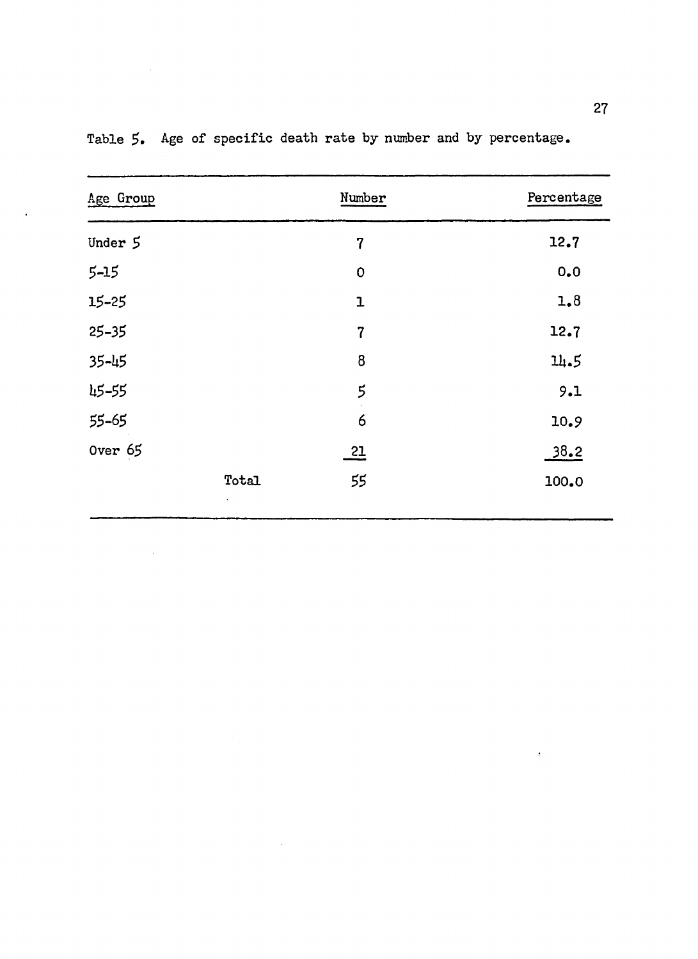| Age Group |       | Number         | Percentage |
|-----------|-------|----------------|------------|
| Under 5   |       | $\overline{7}$ | 12.7       |
| $5 - 15$  |       | $\mathbf 0$    | 0.0        |
| 15-25     |       | $\mathbf{1}$   | 1.8        |
| $25 - 35$ |       | $\overline{7}$ | 12.7       |
| 35-45     |       | 8              | 14.5       |
| 45-55     |       | 5              | 9.1        |
| 55-65     |       | 6              | 10.9       |
| 0ver 65   |       | $\frac{21}{1}$ | 38.2       |
|           | Total | 55             | 100.0      |

 $\sim$   $\sim$ 

Table *5.* Age of specific death rate by number and by percentage.

 $\mathcal{L}^{\text{max}}_{\text{max}}$  and  $\mathcal{L}^{\text{max}}_{\text{max}}$ 

 $\sim$   $\sim$ 

 $\ddot{\phantom{a}}$ 

 $\bar{t}$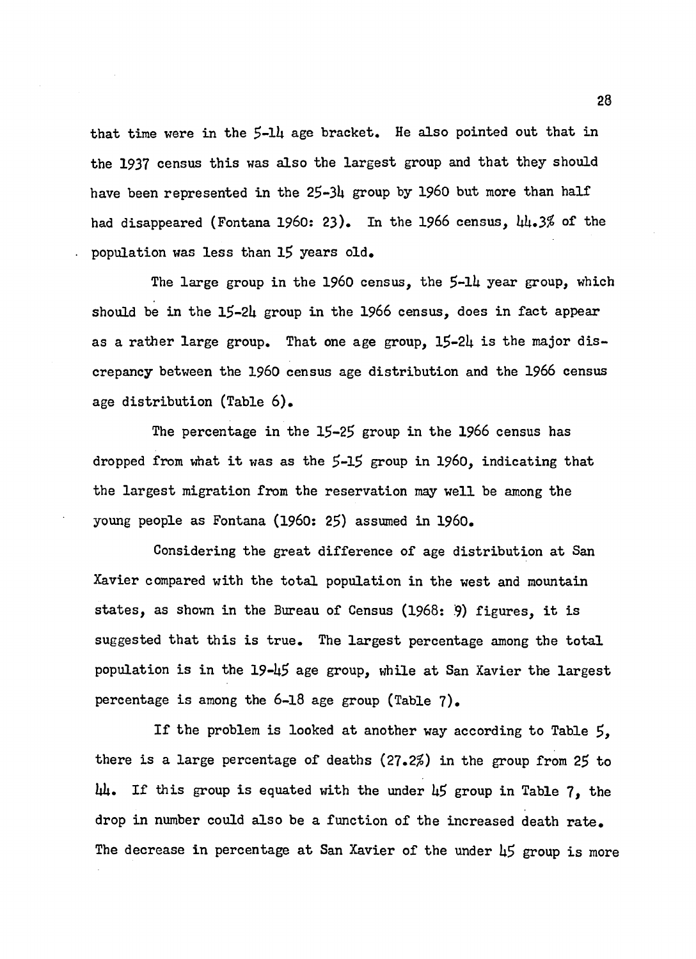that time were in the *\$-lk* age bracket. He also pointed out that in the 1937 census this was also the largest group and that they should have been represented in the 25-34 group by 1960 but more than half had disappeared (Fontana I960: 23). In the 1966 census, *hh,3%* of the population was less than 15 years old.

The large group in the 1960 census, the 5-14 year group, which should be in the 15-24 group in the 1966 census, does in fact appear as a rather large group. That one age group,  $15-24$  is the major discrepancy between the 1960 census age distribution and the 1966 census age distribution (Table 6).

The percentage in the 15-25 group in the 1966 census has dropped from what it was as the 5-15 group in 1960, indicating that the largest migration from the reservation may well be among the young people as Fontana (i960: 25) assumed in i **960**.

Considering the great difference of age distribution at San Xavier compared with the total population in the west and mountain states, as shown in the Bureau of Census (1968: 9) figures, it is suggested that this is true. The largest percentage among the total population is in the  $19-45$  age group, while at San Xavier the largest percentage is among the 6-18 age group (Table 7).

If the problem is looked at another way according to Table  $5$ , there is a large percentage of deaths *(27.2%)* in the group from 25 to  $\mu$ . If this group is equated with the under  $\mu$ 5 group in Table 7, the drop in number could also be a function of the increased death rate. The decrease in percentage at San Xavier of the under 45 group is more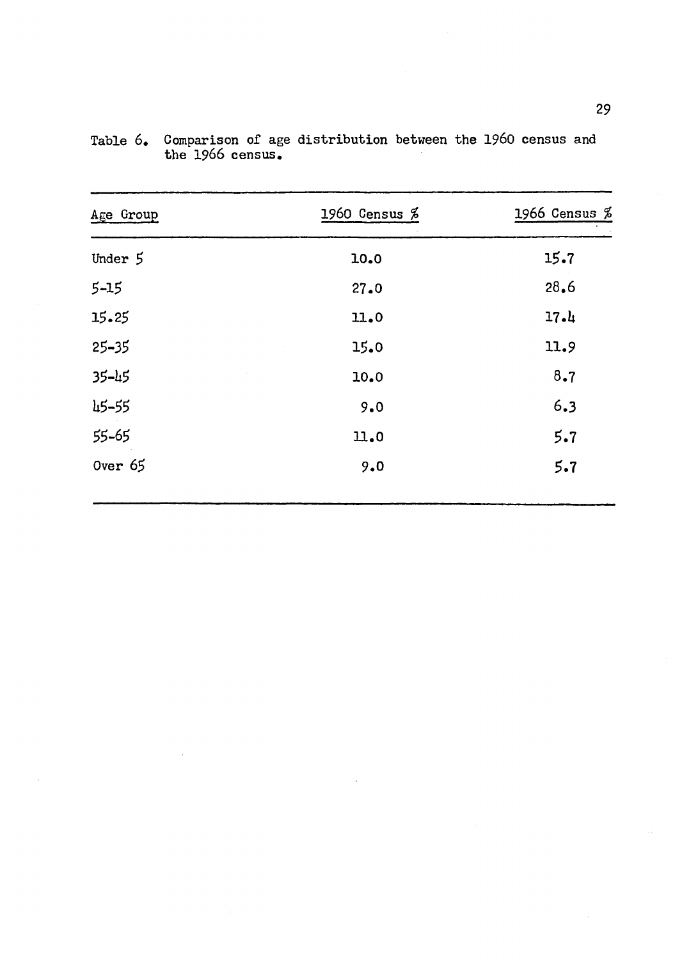<span id="page-37-0"></span>

| Age Group | 1960 Census $%$ | 1966 Census $%$ |
|-----------|-----------------|-----------------|
| Under 5   | 10.0            | 15.7            |
| $5 - 15$  | 27.0            | 28.6            |
| 15.25     | 11.0            | 17.4            |
| $25 - 35$ | 15.0            | 11.9            |
| $35 - 45$ | 10.0            | 8.7             |
| 45-55     | 9.0             | 6.3             |
| 55-65     | 11.0            | 5.7             |
| Over $65$ | 9.0             | 5.7             |

Table 6. Comparison of age distribution between the I960 census and the 1966 census.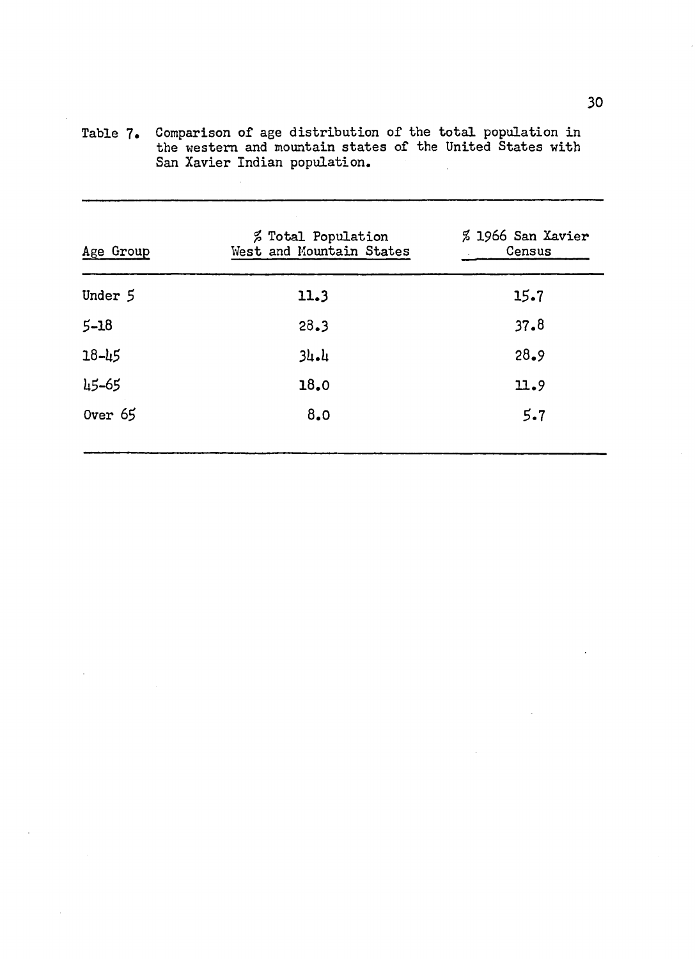| Age Group | <i>%</i> Total Population<br>West and Mountain States | % 1966 San Xavier<br>Census |
|-----------|-------------------------------------------------------|-----------------------------|
| Under 5   | 11.3                                                  | 15.7                        |
| $5 - 18$  | 28.3                                                  | 37.8                        |
| $18 - 45$ | $34 - 4$                                              | 28.9                        |
| 45-65     | 18.0                                                  | 11.9                        |
| Over $65$ | 8.0                                                   | $5 - 7$                     |

Table 7. Comparison of age distribution of the total population in the western and mountain states of the United States with San Xavier Indian population.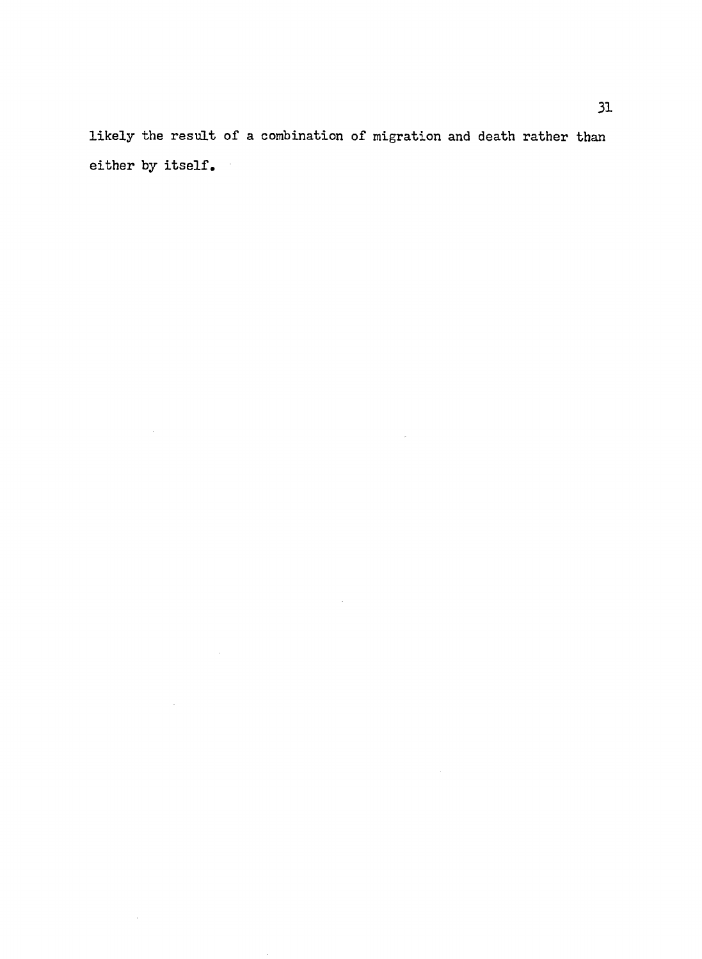likely the result of a combination of migration and death rather than either by itself.

 $\bar{\phantom{a}}$ 

 $\bar{\gamma}$ 

 $\hat{\boldsymbol{\beta}}$ 

 $\mathcal{A}^{\mathcal{A}}$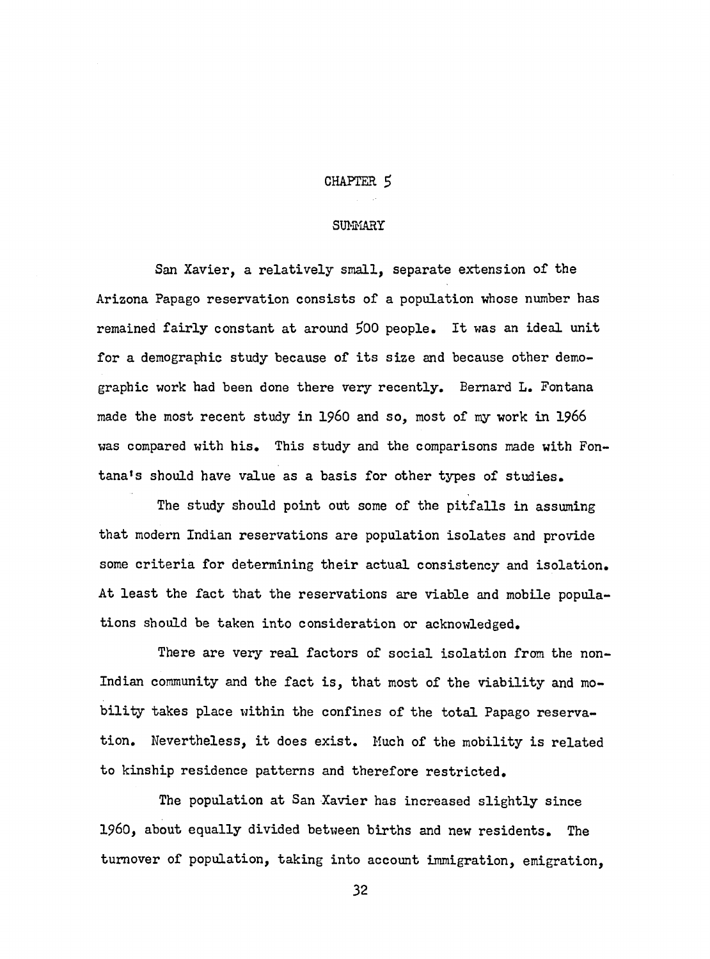## CHAPTER *\$*

## **SUMMARY**

San Xavier, a relatively small, separate extension of the Arizona Papago reservation consists of a population whose number has remained fairly constant at around 500 people. It was an ideal unit for a demographic study because of its size and because other demographic work had been done there very recently. Bernard L. Fontana made the most recent study in I960 and so, most of my work in 1966 was compared with his. This study and the comparisons made with Fontana's should have value as a basis for other types of studies.

The study should point out some of the pitfalls in assuming that modern Indian reservations are population isolates and provide some criteria for determining their actual consistency and isolation. At least the fact that the reservations are viable and mobile populations should be taken into consideration or acknowledged.

There are very real factors of social isolation from the non-Indian community and the fact is, that most of the viability and mobility takes place within the confines of the total Papago reservation. Nevertheless, it does exist. Much of the mobility is related to kinship residence patterns and therefore restricted.

The population at San Xavier has increased slightly since I960, about equally divided between births and new residents. The turnover of population, taking into account immigration, emigration,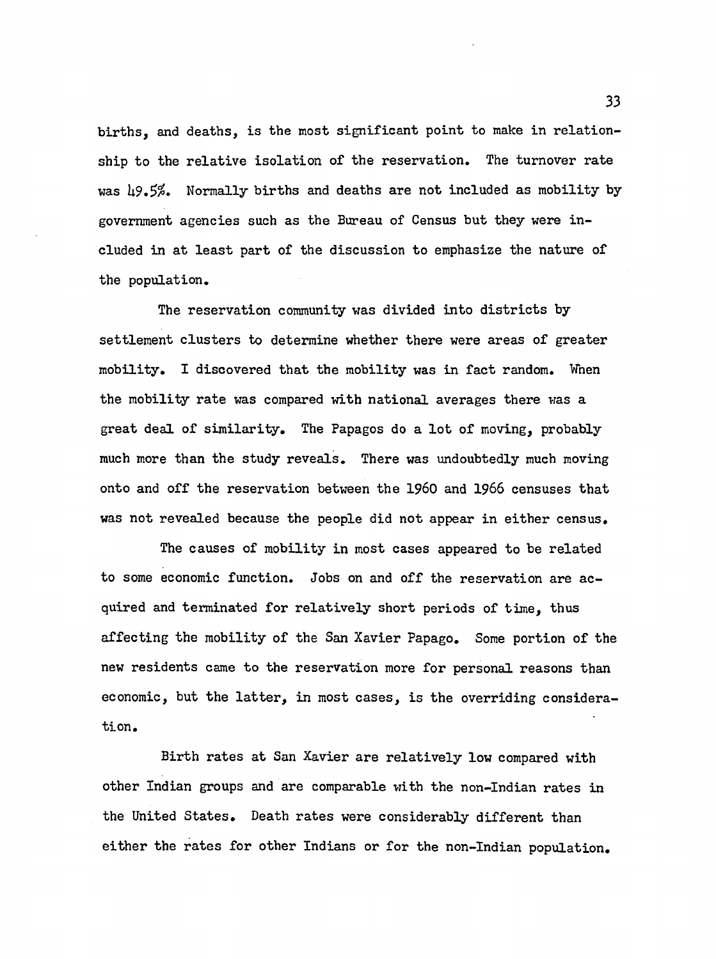births, and deaths, is the most significant point to make in relationship to the relative isolation of the reservation. The turnover rate was 49.5%. Normally births and deaths are not included as mobility by government agencies such as the Bureau of Census but they were included in at least part of the discussion to emphasize the nature of the population.

The reservation community was divided into districts by settlement clusters to determine whether there were areas of greater mobility. I discovered that the mobility was in fact random. When the mobility rate was compared with national averages there was a great deal of similarity. The Papagos do a lot of moving, probably much more than the study reveals. There was undoubtedly much moving onto and off the reservation between the 1960 and 1966 censuses that was not revealed because the people did not appear in either census.

The causes of mobility in most cases appeared to be related to some economic function. Jobs on and off the reservation are acquired and terminated for relatively short periods of time, thus affecting the mobility of the San Xavier Papago. Some portion of the new residents came to the reservation more for personal reasons than economic, but the latter, in most cases, is the overriding consideration.

Birth rates at San Xavier are relatively low compared with other Indian groups and are comparable with the non-Indian rates in the United States. Death rates were considerably different than either the rates for other Indians or for the non-Indian population.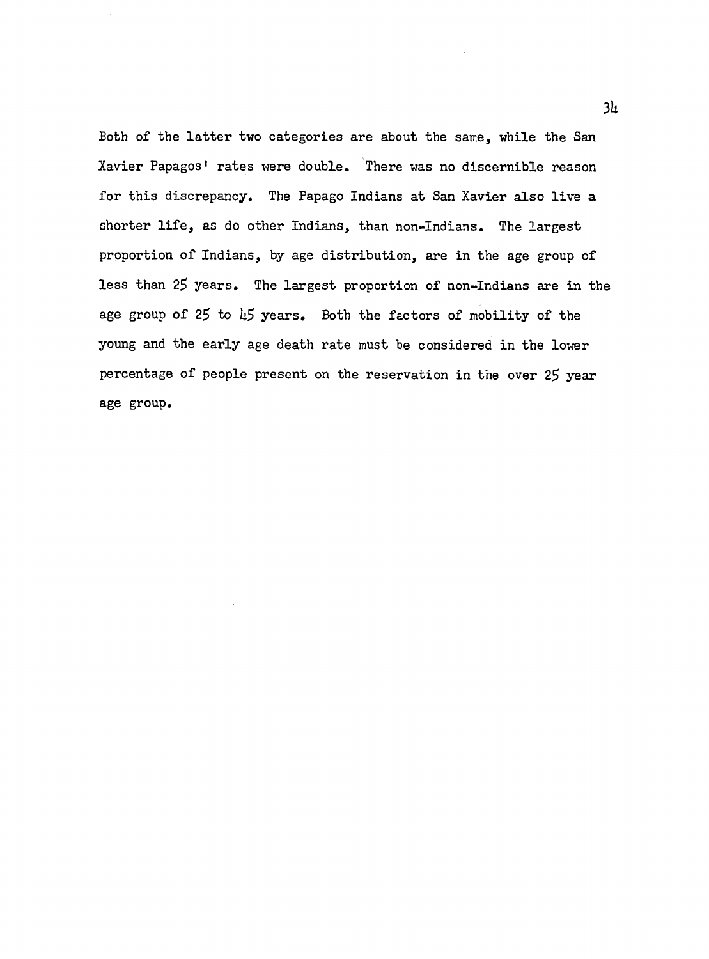Both of the latter two categories are about the same, while the San Xavier Papagos' rates were double. There was no discernible reason for this discrepancy. The Papago Indians at San Xavier also live a shorter life, as do other Indians, than non-Indians. The largest proportion of Indians, by age distribution, are in the age group of less than 25 years. The largest proportion of non-Indians are in the age group of *2\$* to *kS* years. Both the factors of mobility of the young and the early age death rate must be considered in the lower percentage of people present on the reservation in the over 25 year age group.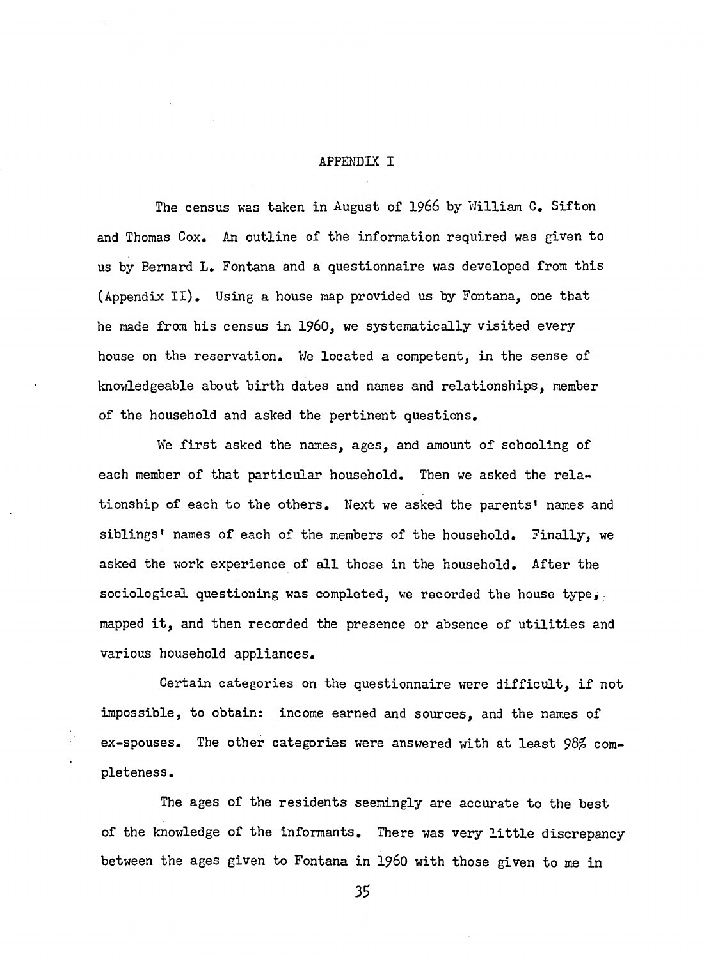## **APPENDIX I**

The census was taken in August of 1966 by William C. Sifton and Thomas Cox. An outline of the information required was given to us by Bernard L. Fontana and a questionnaire was developed from this (Appendix II). Using a house map provided us by Fontana, one that he made from his census in 1960, we systematically visited every house on the reservation. We located a competent, in the sense of knowledgeable about birth dates and names and relationships, member of the household and asked the pertinent questions.

We first asked the names, ages, and amount of schooling of each member of that particular household. Then we asked the relationship of each to the others. Next we asked the parents' names and siblings' names of each of the members of the household. Finally, we asked the work experience of all those in the household. After the sociological questioning was completed, we recorded the house type, mapped it, and then recorded the presence or absence of utilities and various household appliances.

Certain categories on the questionnaire were difficult, if not impossible, to obtain: income earned and sources, and the names of ex-spouses. The other categories were answered with at least *98%* completeness.

The ages of the residents seemingly are accurate to the best of the knowledge of the informants. There was very little discrepancy between the ages given to Fontana in 1960 with those given to me in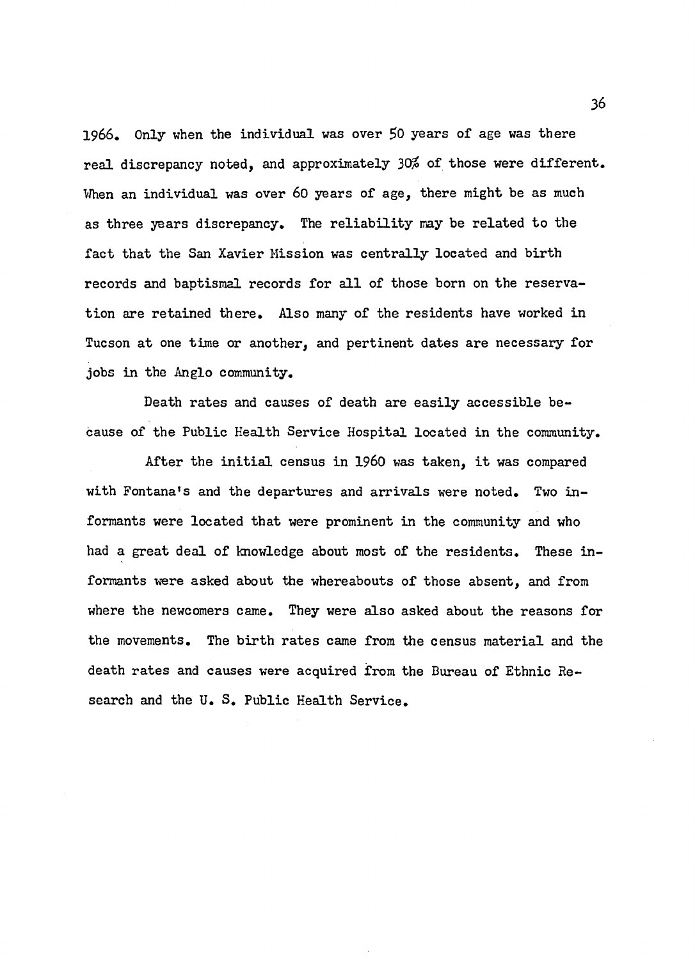1966. Only when the individual was over 50 years of age was there real discrepancy noted, and approximately 30% of those were different. When an individual was over 60 years of age, there might be as much as three years discrepancy. The reliability may be related to the fact that the San Xavier Mission was centrally located and birth records and baptismal records for all of those born on the reservation are retained there. Also many of the residents have worked in Tucson at one time or another, and pertinent dates are necessary for jobs in the Anglo community.

Death rates and causes of death are easily accessible because of the Public Health Service Hospital located in the community.

After the initial census in 1960 was taken, it was compared with Fontana's and the departures and arrivals were noted. Two informants were located that were prominent in the community and who had a great deal of knowledge about most of the residents. These informants were asked about the whereabouts of those absent, and from where the newcomers came. They were also asked about the reasons for the movements. The birth rates came from the census material and the death rates and causes were acquired from the Bureau of Ethnic Research and the U. S. Public Health Service.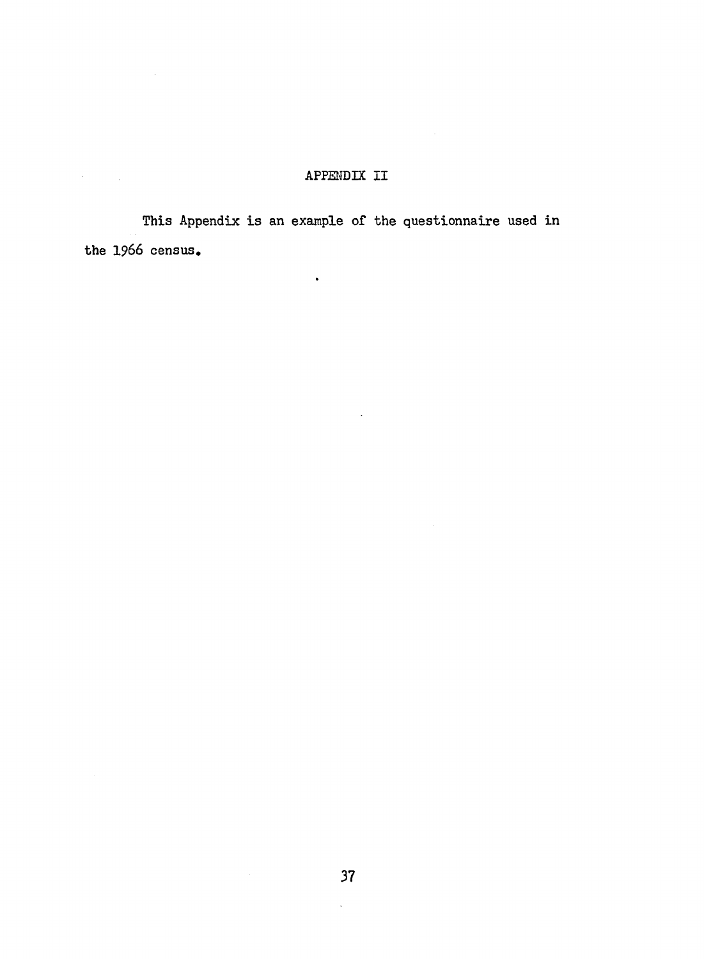# APPENDIX II

 $\ddot{\phantom{a}}$ 

This Appendix is an example of the questionnaire used in the 1966 census.

 $\bullet$ 

 $\sim$   $\sim$ 

 $\label{eq:2} \frac{1}{2} \sum_{i=1}^n \frac{1}{2} \sum_{j=1}^n \frac{1}{2} \sum_{j=1}^n \frac{1}{2} \sum_{j=1}^n \frac{1}{2} \sum_{j=1}^n \frac{1}{2} \sum_{j=1}^n \frac{1}{2} \sum_{j=1}^n \frac{1}{2} \sum_{j=1}^n \frac{1}{2} \sum_{j=1}^n \frac{1}{2} \sum_{j=1}^n \frac{1}{2} \sum_{j=1}^n \frac{1}{2} \sum_{j=1}^n \frac{1}{2} \sum_{j=1}^n \frac{1}{$ 

 $\mathcal{L}^{(1)}$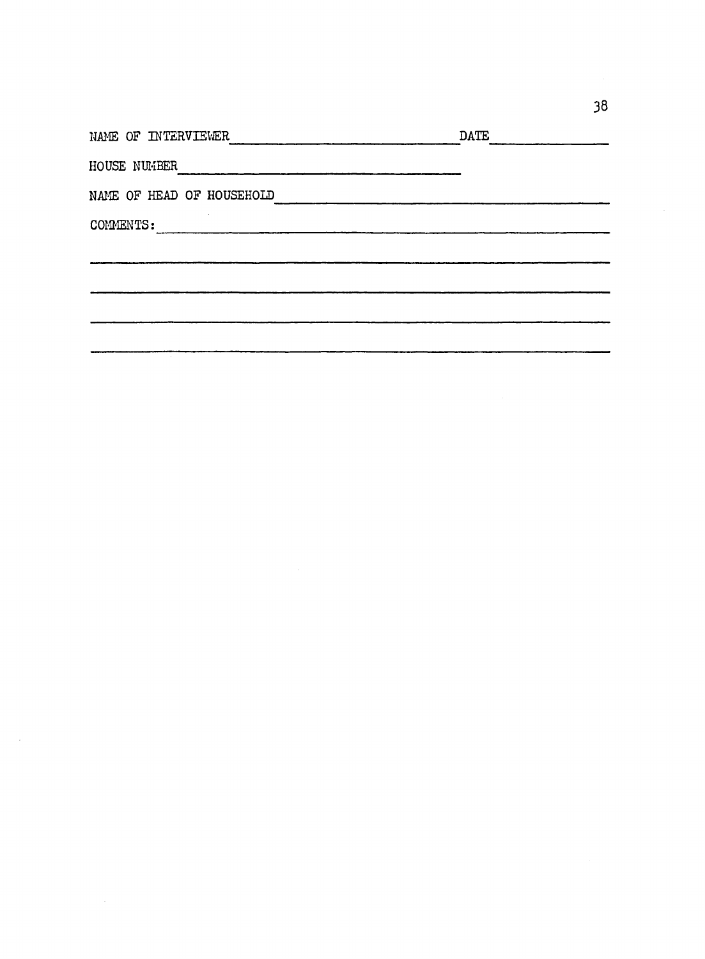| NAME OF INTERVIEWER       | DATE |
|---------------------------|------|
| HOUSE NUMBER              |      |
| NAME OF HEAD OF HOUSEHOLD |      |
| COMMENTS:                 |      |
|                           |      |
|                           |      |
|                           |      |
|                           |      |
|                           |      |

 $\sim$ 

 $\mathcal{L}_{\text{max}}$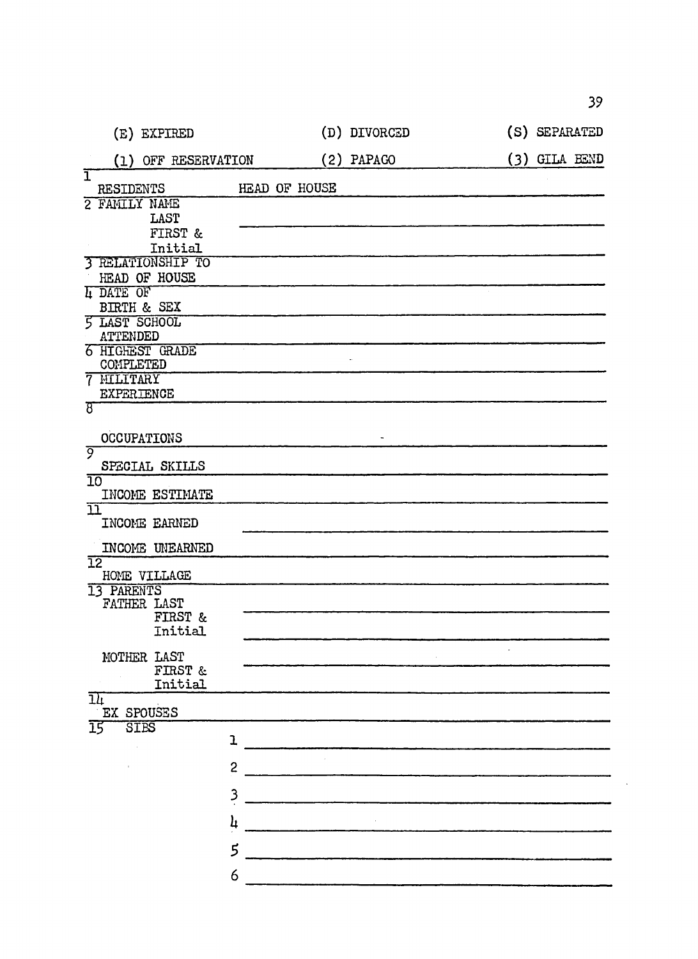|                         |                         |             | (E) EXPIRED                  |                         |               | (D) DIVORCED |  | (S) SEPARATED |  |
|-------------------------|-------------------------|-------------|------------------------------|-------------------------|---------------|--------------|--|---------------|--|
|                         |                         |             | (1) OFF RESERVATION          |                         |               | $(2)$ PAPAGO |  | (3) GILA BEND |  |
| ï                       |                         |             | RESIDENTS                    |                         | HEAD OF HOUSE |              |  |               |  |
|                         |                         |             | 2 FAMILY NAME                |                         |               |              |  |               |  |
|                         |                         |             | LAST                         |                         |               |              |  |               |  |
|                         |                         |             | FIRST &<br>Initial           |                         |               |              |  |               |  |
|                         |                         |             | <b>3 RELATIONSHIP TO</b>     |                         |               |              |  |               |  |
|                         |                         |             | HEAD OF HOUSE                |                         |               |              |  |               |  |
|                         | <b>L DATE OF</b>        |             |                              |                         |               |              |  |               |  |
|                         |                         |             | BIRTH & SEX                  |                         |               |              |  |               |  |
|                         |                         |             | <b>5 LAST SCHOOL</b>         |                         |               |              |  |               |  |
|                         | <b>ATTENDED</b>         |             |                              |                         |               |              |  |               |  |
|                         |                         |             | 6 HIGHEST GRADE<br>COMPLETED |                         |               |              |  |               |  |
|                         | 7 MILITARY              |             |                              |                         |               |              |  |               |  |
|                         |                         |             | <b>EXPERIENCE</b>            |                         |               |              |  |               |  |
| ষ্ট                     |                         |             |                              |                         |               |              |  |               |  |
|                         |                         |             | <b>OCCUPATIONS</b>           |                         |               |              |  |               |  |
| ନ୍ତ                     |                         |             | SPECIAL SKILLS               |                         |               |              |  |               |  |
| $\overline{10}$         |                         |             |                              |                         |               |              |  |               |  |
|                         |                         |             | INCOME ESTIMATE              |                         |               |              |  |               |  |
| $\overline{\mathbf{u}}$ |                         |             | INCOME EARNED                |                         |               |              |  |               |  |
|                         |                         |             | INCOME UNEARNED              |                         |               |              |  |               |  |
|                         | $\overline{12}$         |             | HOME VILLAGE                 |                         |               |              |  |               |  |
|                         | 13 PARENTS              |             |                              |                         |               |              |  |               |  |
|                         |                         |             | FATHER LAST                  |                         |               |              |  |               |  |
|                         |                         |             | FIRST &                      |                         |               |              |  |               |  |
|                         |                         |             | Initial                      |                         |               |              |  |               |  |
|                         |                         |             | MOTHER LAST                  |                         |               |              |  |               |  |
|                         |                         |             | <b>FIRST &amp;</b>           |                         |               |              |  |               |  |
|                         |                         |             | Initial                      |                         |               |              |  |               |  |
|                         | $\overline{\mathbf{u}}$ |             | EX SPOUSES                   |                         |               |              |  |               |  |
|                         | $\overline{15}$         | <b>STES</b> |                              |                         |               |              |  |               |  |
|                         |                         |             |                              | $\mathbf{I}$            |               |              |  |               |  |
|                         |                         |             |                              | $\overline{c}$          |               |              |  |               |  |
|                         |                         |             |                              | $\overline{\mathbf{3}}$ |               |              |  |               |  |
|                         |                         |             |                              | $\mathbf{h}$            |               |              |  |               |  |
|                         |                         |             |                              |                         |               |              |  |               |  |
|                         |                         |             |                              | $\mathbf{5}$            |               |              |  |               |  |
|                         |                         |             |                              | 6                       |               |              |  |               |  |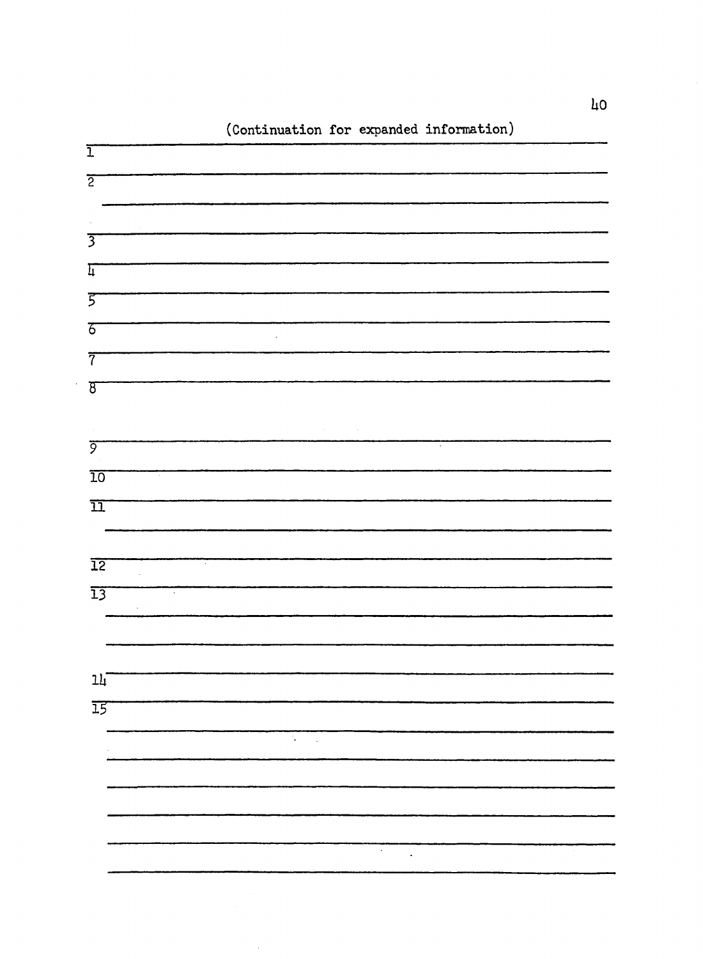

(Continuation for expanded information)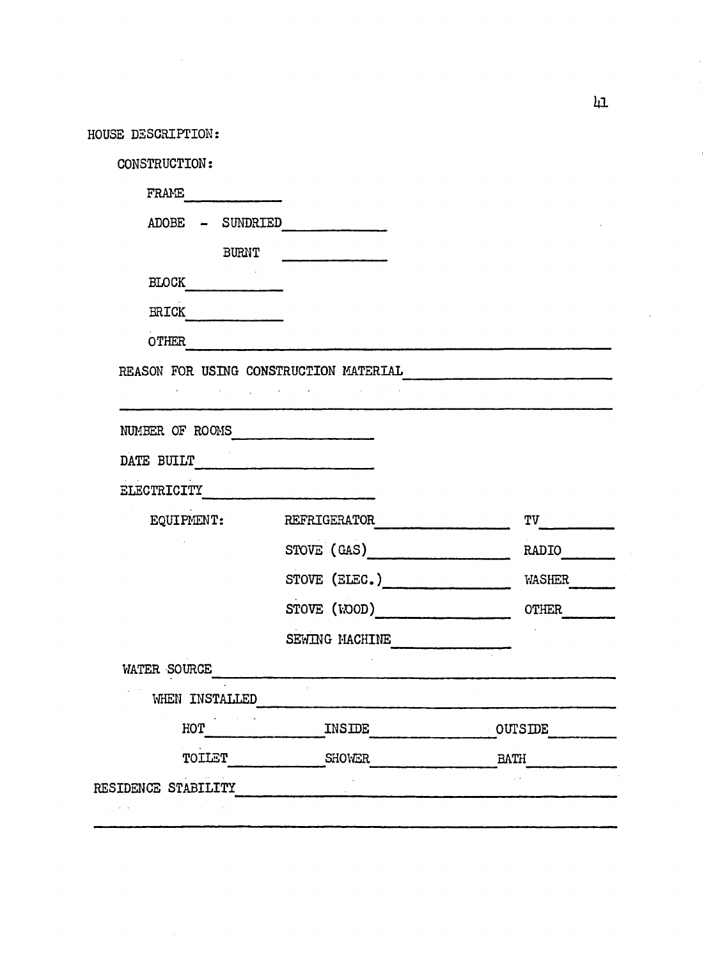| HOUSE DESCRIPTION:                     |                |                |
|----------------------------------------|----------------|----------------|
| CONSTRUCTION:                          |                |                |
| FRAME                                  |                |                |
| ADOBE - SUNDRIED                       |                |                |
| <b>BURNT</b>                           |                |                |
| <b>BLOCK</b>                           |                |                |
| <b>ERICK</b>                           |                |                |
| <b>OTHER</b>                           |                |                |
| the control of the control of the con- |                |                |
| NUMBER OF ROOMS                        |                |                |
| DATE BUILT                             |                |                |
| ELECTRICITY                            |                |                |
| EQUIPMENT:                             | REFRIGERATOR   | <b>TV</b>      |
|                                        | STOVE (GAS)    | RADIO          |
|                                        | STOVE (ELEC.)  | <b>WASHER</b>  |
|                                        | STOVE (WOOD)   | OTHER          |
|                                        | SEWING MACHINE |                |
| WATER SOURCE                           |                |                |
| WHEN INSTALLED                         |                |                |
| HOT                                    | INSIDE         | <b>OUTSIDE</b> |
| TOILET                                 | SHOWER         | <b>BATH</b>    |
| RESIDENCE STABILITY                    |                |                |
|                                        |                |                |

 $\hat{\boldsymbol{\theta}}$ 

 $\overline{\mathfrak{m}}$ 

 $\bar{\phantom{a}}$ 

 $\cdot$ 

 $\cdot$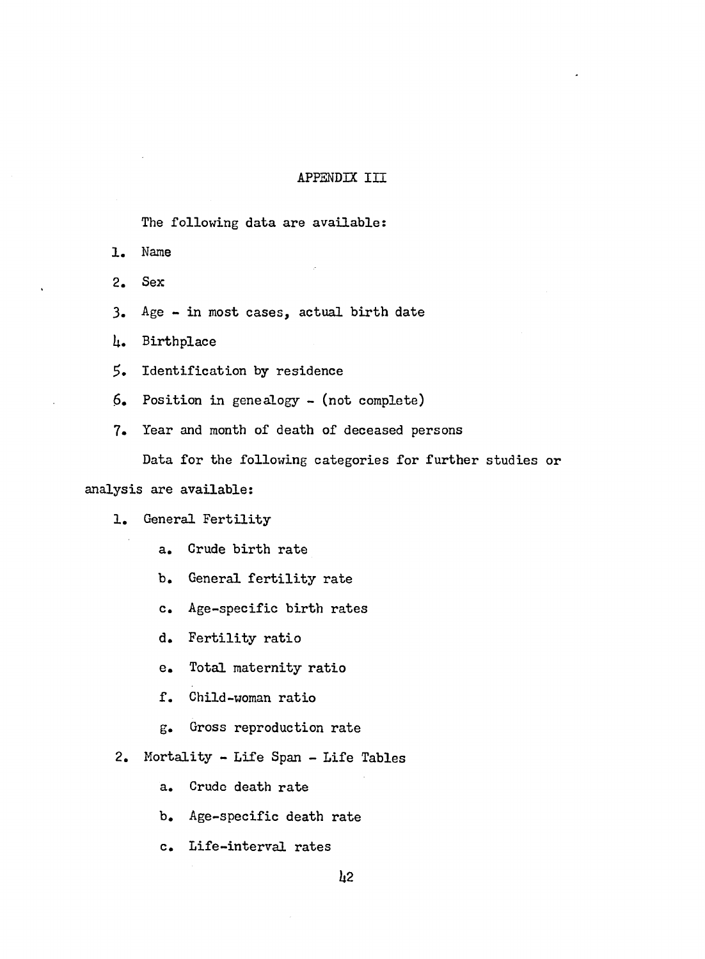## **APPENDIX III**

The following data are available:

- 1. Name
- 2. Sex
- $3.$  Age in most cases, actual birth date
- It. Birthplace
- 5. Identification by residence
- $6.$  Position in genealogy (not complete)
- 7. Year and month of death of deceased persons

Data for the following categories for further studies or

# analysis are available:

- 1. General Fertility
	- a. Crude birth rate
	- b. General fertility rate
	- c. Age-specific birth rates
	- d. Fertility ratio
	- e. Total maternity ratio
	- f. Child-woman ratio
	- g. Gross reproduction rate
- 2. Mortality Life Span Life Tables
	- a. Crude death rate
	- b. Age-specific death rate
	- c. Life-interval rates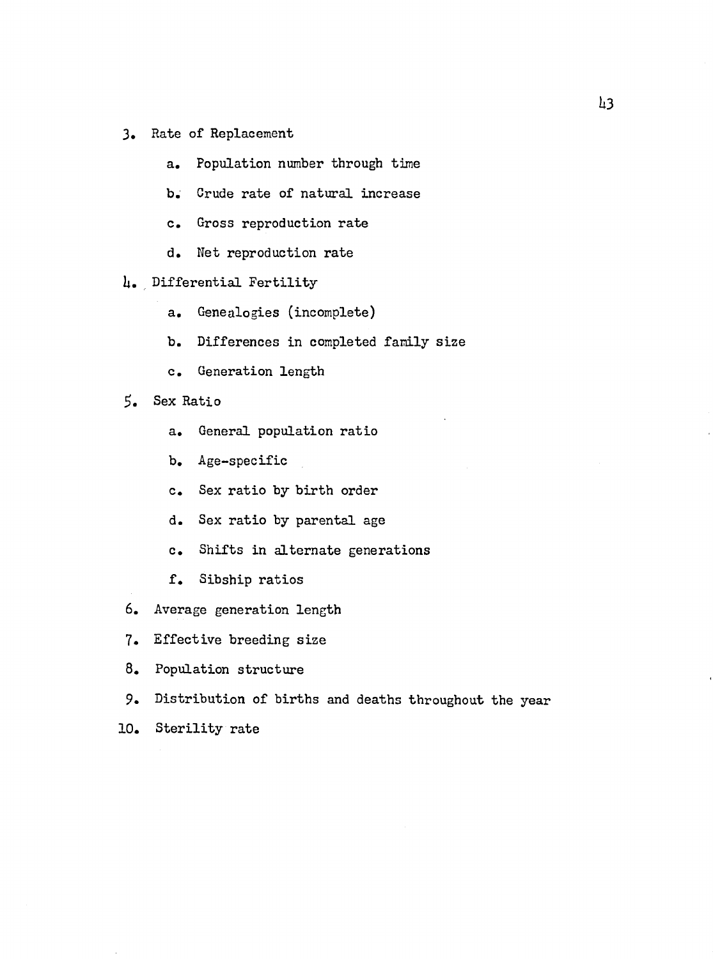- 3. Rate of Replacement
	- a. Population number through time
	- b. Crude rate of natural increase
	- c. Gross reproduction rate
	- d. Net reproduction rate
- 4. Differential Fertility
	- a. Genealogies (incomplete)
	- b. Differences in completed family size
	- c. Generation length
- Sex Ratio
	- a. General population ratio
	- b. Age-specific
	- c. Sex ratio by birth order
	- d. Sex ra tio by parental age
	- c. Shifts in alternate generations
	- f. Sibship ratios
- 6. Average generation length
- 7. Effective breeding size
- 8. Population structure
- 9. Distribution of births and deaths throughout the year
- 10. Sterility rate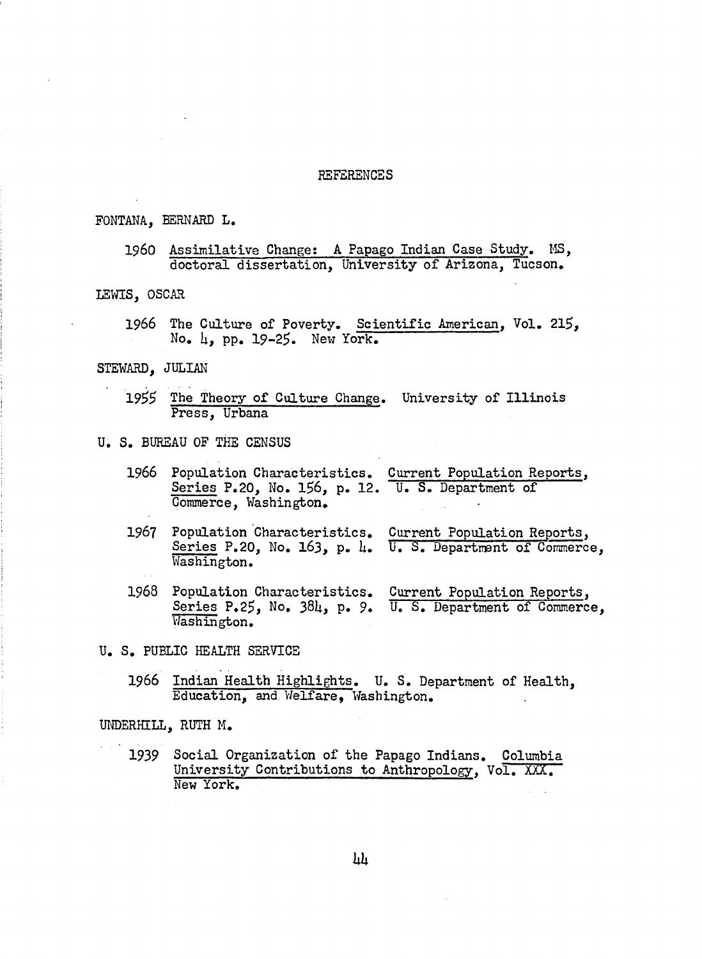#### REFERENCES

#### FONTANA, BERNARD L.

## I960 Assimilative Change; A Papago Indian Case Study. MS, doctoral dissertation. University of Arizona, Tucson.

#### LEWIS, OSCAR

1966 The Culture of Poverty. Scientific American, Vol. 215, No.  $\mu$ , pp. 19-25. New York.

#### STEWARD, JULIAN

- 1955 The Theory of Culture Change. University of Illinois Press, Urbana
- U. S. BUREAU OF THE CENSUS
	- 1966 Population Characteristics. Current Population Reports, Series P.20, No. 156, p. 12. U. S. Department of Commerce, Washington.
	- 1967 Population Characteristics. Current Population Reports, Series P.20, No. 163, p. 4. U. S. Department of Commerce Washington.
	- 1968 Population Characteristics. Current Population Reports, Series P.2\$, No. **38**U, p. 9. U. S. Department of Commerce Washington.

U. S. PUBLIC HEALTH SERVICE

**1966** Indian Health Highlights. U. S. Department of Health, Education, and Welfare, Washington.

UNDERHILL, RUTH M.

1939 Social Organization of the Papago Indians. Columbia University Contributions to Anthropology, Vol. XXX. New York.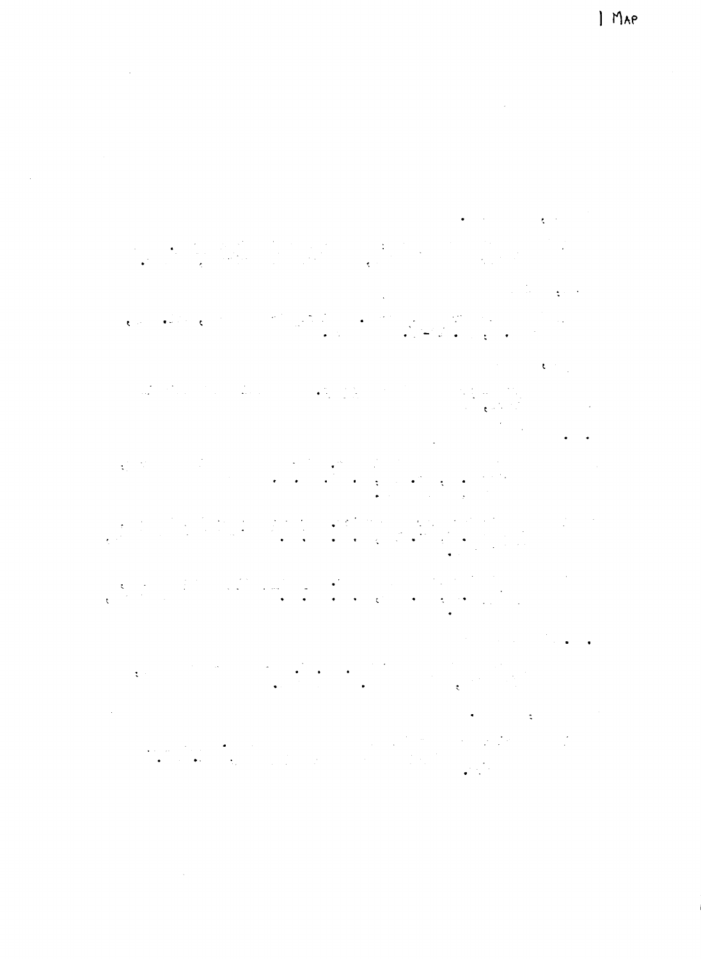$\label{eq:2.1} \frac{1}{\sqrt{2}}\int_{\mathbb{R}^3}\frac{1}{\sqrt{2}}\left(\frac{1}{\sqrt{2}}\right)^2\frac{1}{\sqrt{2}}\left(\frac{1}{\sqrt{2}}\right)^2\frac{1}{\sqrt{2}}\left(\frac{1}{\sqrt{2}}\right)^2\frac{1}{\sqrt{2}}\left(\frac{1}{\sqrt{2}}\right)^2.$ 

 $\label{eq:2.1} \mathcal{L}(\mathcal{L}^{\text{max}}_{\mathcal{L}}(\mathcal{L}^{\text{max}}_{\mathcal{L}}(\mathcal{L}^{\text{max}}_{\mathcal{L}}(\mathcal{L}^{\text{max}}_{\mathcal{L}^{\text{max}}_{\mathcal{L}}(\mathcal{L}^{\text{max}}_{\mathcal{L}^{\text{max}}_{\mathcal{L}^{\text{max}}_{\mathcal{L}^{\text{max}}_{\mathcal{L}^{\text{max}}_{\mathcal{L}^{\text{max}}_{\mathcal{L}^{\text{max}}_{\mathcal{L}^{\text{max}}_{\mathcal{L}^{\text{max}}$ 

 $\mathcal{L}^{\text{max}}$ 

 $\hat{\mathcal{L}}$ 

 $\label{eq:2.1} \mathcal{L}(\mathcal{L}^{\mathcal{L}}_{\mathcal{L}}(\mathcal{L}^{\mathcal{L}}_{\mathcal{L}})) = \mathcal{L}(\mathcal{L}^{\mathcal{L}}_{\mathcal{L}}(\mathcal{L}^{\mathcal{L}}_{\mathcal{L}})) = \mathcal{L}(\mathcal{L}^{\mathcal{L}}_{\mathcal{L}}(\mathcal{L}^{\mathcal{L}}_{\mathcal{L}}))$